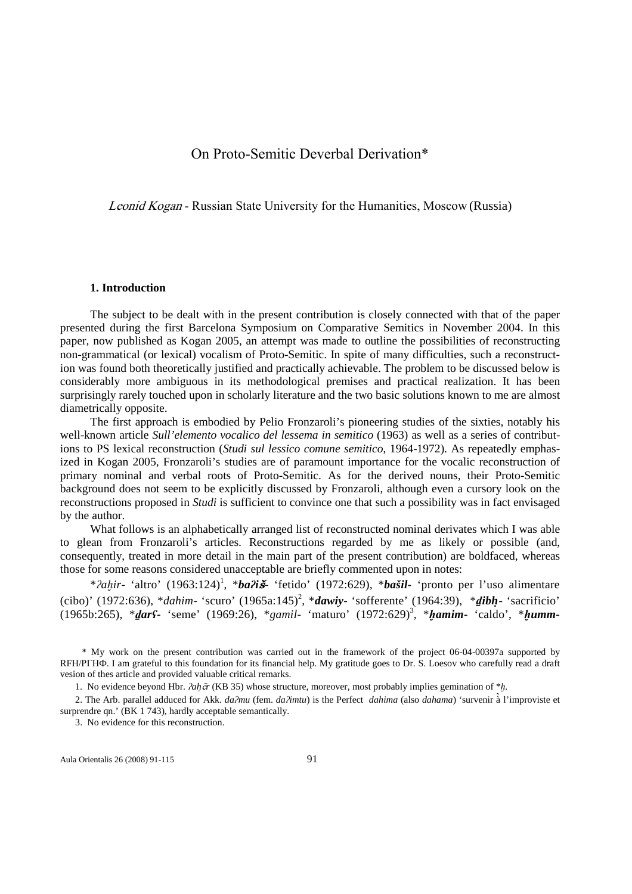# On Proto-Semitic Deverbal Derivation\*

Leonid Kogan - Russian State University for the Humanities, Moscow (Russia)

### **1. Introduction**

The subject to be dealt with in the present contribution is closely connected with that of the paper presented during the first Barcelona Symposium on Comparative Semitics in November 2004. In this paper, now published as Kogan 2005, an attempt was made to outline the possibilities of reconstructing non-grammatical (or lexical) vocalism of Proto-Semitic. In spite of many difficulties, such a reconstruction was found both theoretically justified and practically achievable. The problem to be discussed below is considerably more ambiguous in its methodological premises and practical realization. It has been surprisingly rarely touched upon in scholarly literature and the two basic solutions known to me are almost diametrically opposite.

The first approach is embodied by Pelio Fronzaroli's pioneering studies of the sixties, notably his well-known article *Sull'elemento vocalico del lessema in semitico* (1963) as well as a series of contributions to PS lexical reconstruction (*Studi sul lessico comune semitico*, 1964-1972). As repeatedly emphasized in Kogan 2005, Fronzaroli's studies are of paramount importance for the vocalic reconstruction of primary nominal and verbal roots of Proto-Semitic. As for the derived nouns, their Proto-Semitic background does not seem to be explicitly discussed by Fronzaroli, although even a cursory look on the reconstructions proposed in *Studi* is sufficient to convince one that such a possibility was in fact envisaged by the author.

What follows is an alphabetically arranged list of reconstructed nominal derivates which I was able to glean from Fronzaroli's articles. Reconstructions regarded by me as likely or possible (and, consequently, treated in more detail in the main part of the present contribution) are boldfaced, whereas those for some reasons considered unacceptable are briefly commented upon in notes:

\**?ahir*- 'altro' (1963:124)<sup>1</sup>, \**ba?iš*- 'fetido' (1972:629), \**bašil*- 'pronto per l'uso alimentare (cibo)' (1972:636), \**dahim*- 'scuro' (1965a:145)<sup>2</sup>, \**dawiy*- 'sofferente' (1964:39), \**dibh*- 'sacrificio' (1965b:265), \*ḏ*ar*ʕ**-** 'seme' (1969:26), \**gamil*- 'maturo' (1972:629)<sup>3</sup> , \*ḫ*amim***-** 'caldo', \*ḫ*umm***-**

\* My work on the present contribution was carried out in the framework of the project 06-04-00397a supported by RFH/РГНФ. I am grateful to this foundation for its financial help. My gratitude goes to Dr. S. Loesov who carefully read a draft vesion of thes article and provided valuable critical remarks.

1. No evidence beyond Hbr. ʔ*ahr* (KB 35) whose structure, moreover, most probably implies gemination of \*≠*.*

2. The Arb. parallel adduced for Akk. *da*ʔ*mu* (fem. *da*ʔ*imtu*) is the Perfect *dahima* (also *dahama*) 'survenir à l'improviste et surprendre qn.' (BK 1 743), hardly acceptable semantically.

3. No evidence for this reconstruction.

Aula Orientalis 26 (2008) 91-115 91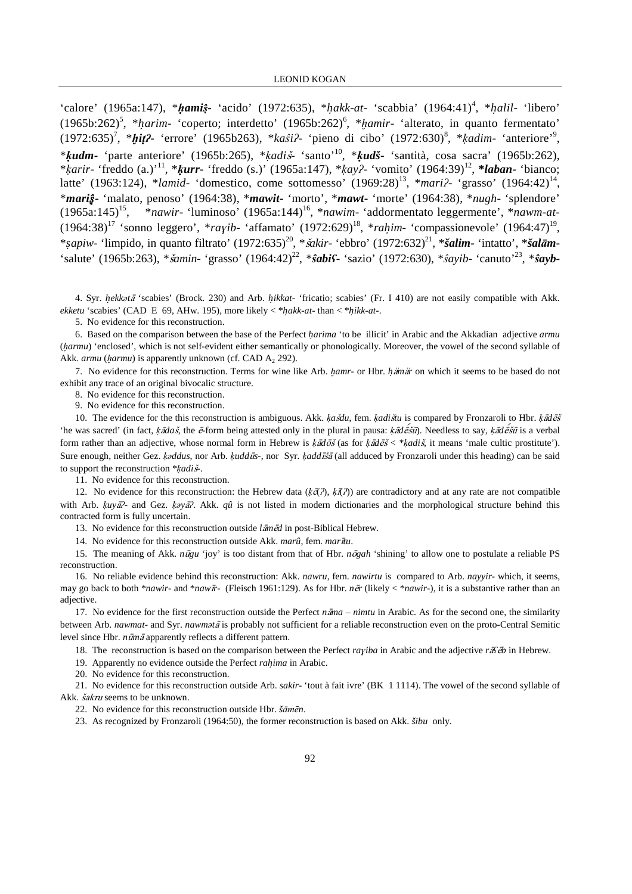'calore' (1965a:147), \*ḥ*ami*s**-** 'acido' (1972:635), \**hakk*-*at*- 'scabbia' (1964:41)<sup>4</sup> , \**halil*- 'libero' (1965b:262)<sup>5</sup> , \**harim*- 'coperto; interdetto' (1965b:262)<sup>6</sup> , \*≠*amir*- 'alterato, in quanto fermentato' (1972:635)<sup>7</sup>, \**hit?-* 'errore' (1965b263), \*kast?- 'pieno di cibo' (1972:630)<sup>8</sup>, \*kadim- 'anteriore'<sup>9</sup>, \*ḳ*udm***-** 'parte anteriore' (1965b:265), \*ḳ*adi*- 'santo'<sup>10</sup>, \*ḳ*udš***-** 'santità, cosa sacra' (1965b:262), \*ḳ*arir*- 'freddo (a.)'<sup>11</sup>, \*ḳ*urr***-** 'freddo (s.)' (1965a:147), \*ḳ*ay*ʔ- 'vomito' (1964:39)<sup>12</sup> , **\****laban***-** 'bianco; latte' (1963:124), \**lamid*- 'domestico, come sottomesso' (1969:28)<sup>13</sup>, \**mari*?- 'grasso' (1964:42)<sup>14</sup>, \**mari*s**-** 'malato, penoso' (1964:38), \**mawit***-** 'morto', \**mawt***-** 'morte' (1964:38), \**nugh*- 'splendore' (1965a:145)<sup>15</sup>, \**nawir*- 'luminoso' (1965a:144)<sup>16</sup>, \**nawim*- 'addormentato leggermente', \**nawm*-*at*- (1964:38)<sup>17</sup> 'sonno leggero', \*rayib- 'affamato' (1972:629)<sup>18</sup>, \*rah*im*- 'compassionevole' (1964:47)<sup>19</sup>, \**sapiw*- 'limpido, in quanto filtrato' (1972:635)<sup>20</sup>, \**akir*- 'ebbro' (1972:632)<sup>21</sup>, \**šalim***-** 'intatto', \**šal*ā*m***-** 'salute' (1965b:263), \**šamin*- 'grasso' (1964:42)<sup>22</sup>, \**ŝabiS*- 'sazio' (1972:630), \**ŝayib*- 'canuto'<sup>23</sup>, \**ŝayb*-

4. Syr. *hekk*ə*t* 'scabies' (Brock. 230) and Arb. *hikkat*- 'fricatio; scabies' (Fr. I 410) are not easily compatible with Akk. *ekketu* 'scabies' (CAD E 69, AHw. 195), more likely < \**hakk*-*at*- than < \**hikk*-*at*-.

5. No evidence for this reconstruction.

6. Based on the comparison between the base of the Perfect *harima* 'to be illicit' in Arabic and the Akkadian adjective *armu* (harmu) 'enclosed', which is not self-evident either semantically or phonologically. Moreover, the vowel of the second syllable of Akk. *armu* (harmu) is apparently unknown (cf. CAD A<sub>2</sub> 292).

7. No evidence for this reconstruction. Terms for wine like Arb. *hamr*- or Hbr. *hamar* on which it seems to be based do not exhibit any trace of an original bivocalic structure.

8. No evidence for this reconstruction.

9. No evidence for this reconstruction.

10. The evidence for the this reconstruction is ambiguous. Akk. ḳ*adu*, fem. ḳ*aditu* is compared by Fronzaroli to Hbr. ḳ*d* 'he was sacred' (in fact, *ķādaš*, the ē-form being attested only in the plural in pausa: *ķādēšū*). Needless to say, *ķādēšū* is a verbal form rather than an adjective, whose normal form in Hebrew is  $k\bar{a}d\bar{c}\bar{s}$  (as for  $k\bar{a}d\bar{c}\bar{s}$  < \* $k\bar{a}d\bar{s}$ , it means 'male cultic prostitute'). Sure enough, neither Gez. ḳə*ddus*, nor Arb. ḳ*udds*-, nor Syr. ḳ*add* (all adduced by Fronzaroli under this heading) can be said to support the reconstruction \*ḳ*adi*-.

11. No evidence for this reconstruction.

12. No evidence for this reconstruction: the Hebrew data ( $k\bar{\alpha}(\lambda)$ ,  $k\bar{\alpha}(\lambda)$ ) are contradictory and at any rate are not compatible with Arb.  $kuy\bar{a}^2$ - and Gez.  $k\partial y\bar{a}^2$ . Akk.  $q\hat{u}$  is not listed in modern dictionaries and the morphological structure behind this contracted form is fully uncertain.

13. No evidence for this reconstruction outside *lam* $\vec{\alpha}$  in post-Biblical Hebrew.

14. No evidence for this reconstruction outside Akk. *marû*, fem. *martu*.

15. The meaning of Akk. *ngu* 'joy' is too distant from that of Hbr. *ngah* 'shining' to allow one to postulate a reliable PS reconstruction.

16. No reliable evidence behind this reconstruction: Akk. *nawru*, fem. *nawirtu* is compared to Arb. *nayyir*- which, it seems, may go back to both \**nawir*- and \**nawr*- (Fleisch 1961:129). As for Hbr. *nr* (likely < \**nawir*-), it is a substantive rather than an adjective.

17. No evidence for the first reconstruction outside the Perfect *n* $\bar{a}$ *ma* – *nimtu* in Arabic. As for the second one, the similarity between Arb. *nawmat*- and Syr. *nawm*ə*t* is probably not sufficient for a reliable reconstruction even on the proto-Central Semitic level since Hbr. *nūmā* apparently reflects a different pattern.

18. The reconstruction is based on the comparison between the Perfect *rayiba* in Arabic and the adjective *r*s  $\vec{a}$  in Hebrew.

19. Apparently no evidence outside the Perfect *rahima* in Arabic.

20. No evidence for this reconstruction.

21. No evidence for this reconstruction outside Arb. *sakir*- 'tout à fait ivre' (BK 1 1114). The vowel of the second syllable of Akk. *šakru* seems to be unknown.

22. No evidence for this reconstruction outside Hbr.  $\check{\delta}$ *āmēn*.

23. As recognized by Fronzaroli (1964:50), the former reconstruction is based on Akk. *šību* only.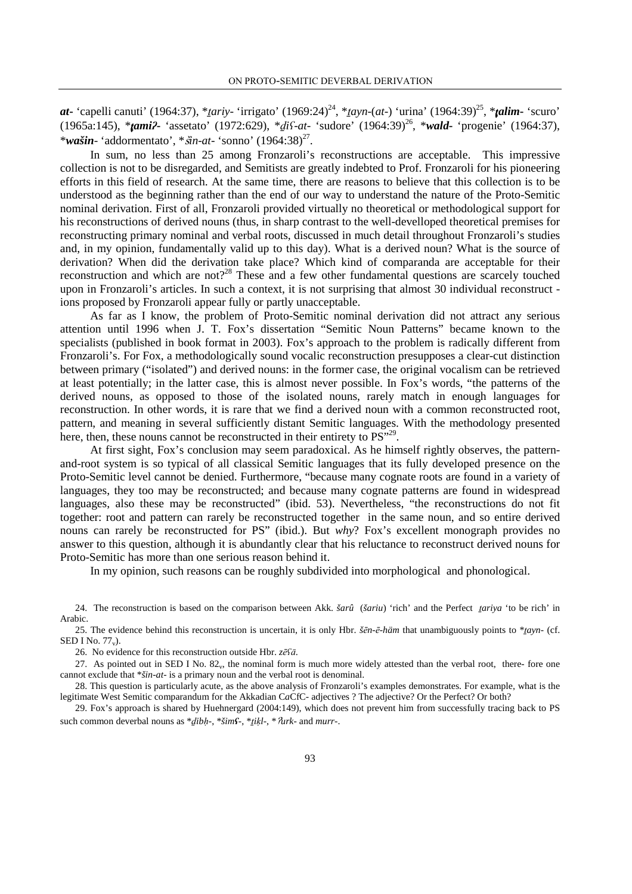*at***-** 'capelli canuti' (1964:37), \**tariy*- 'irrigato' (1969:24)<sup>24</sup>, \**tayn*-(*at*-) 'urina' (1964:39)<sup>25</sup>, \**talim*- 'scuro' (1965a:145), \*t*ami*ʔ**-** 'assetato' (1972:629), \*ḏ*i*ʕ-*at*- 'sudore' (1964:39)<sup>26</sup>, \**wald***-** 'progenie' (1964:37), \**wašin*- 'addormentato', \**šin-at*- 'sonno' (1964:38)<sup>27</sup>.

In sum, no less than 25 among Fronzaroli's reconstructions are acceptable. This impressive collection is not to be disregarded, and Semitists are greatly indebted to Prof. Fronzaroli for his pioneering efforts in this field of research. At the same time, there are reasons to believe that this collection is to be understood as the beginning rather than the end of our way to understand the nature of the Proto-Semitic nominal derivation. First of all, Fronzaroli provided virtually no theoretical or methodological support for his reconstructions of derived nouns (thus, in sharp contrast to the well-develloped theoretical premises for reconstructing primary nominal and verbal roots, discussed in much detail throughout Fronzaroli's studies and, in my opinion, fundamentally valid up to this day). What is a derived noun? What is the source of derivation? When did the derivation take place? Which kind of comparanda are acceptable for their reconstruction and which are not?<sup>28</sup> These and a few other fundamental questions are scarcely touched upon in Fronzaroli's articles. In such a context, it is not surprising that almost 30 individual reconstruct ions proposed by Fronzaroli appear fully or partly unacceptable.

As far as I know, the problem of Proto-Semitic nominal derivation did not attract any serious attention until 1996 when J. T. Fox's dissertation "Semitic Noun Patterns" became known to the specialists (published in book format in 2003). Fox's approach to the problem is radically different from Fronzaroli's. For Fox, a methodologically sound vocalic reconstruction presupposes a clear-cut distinction between primary ("isolated") and derived nouns: in the former case, the original vocalism can be retrieved at least potentially; in the latter case, this is almost never possible. In Fox's words, "the patterns of the derived nouns, as opposed to those of the isolated nouns, rarely match in enough languages for reconstruction. In other words, it is rare that we find a derived noun with a common reconstructed root, pattern, and meaning in several sufficiently distant Semitic languages. With the methodology presented here, then, these nouns cannot be reconstructed in their entirety to  $PS^{\prime,29}$ .

At first sight, Fox's conclusion may seem paradoxical. As he himself rightly observes, the patternand-root system is so typical of all classical Semitic languages that its fully developed presence on the Proto-Semitic level cannot be denied. Furthermore, "because many cognate roots are found in a variety of languages, they too may be reconstructed; and because many cognate patterns are found in widespread languages, also these may be reconstructed" (ibid. 53). Nevertheless, "the reconstructions do not fit together: root and pattern can rarely be reconstructed together in the same noun, and so entire derived nouns can rarely be reconstructed for PS" (ibid.). But *why*? Fox's excellent monograph provides no answer to this question, although it is abundantly clear that his reluctance to reconstruct derived nouns for Proto-Semitic has more than one serious reason behind it.

In my opinion, such reasons can be roughly subdivided into morphological and phonological.

24. The reconstruction is based on the comparison between Akk. *šarû* (*šariu*) 'rich' and the Perfect ṯ*ariya* 'to be rich' in Arabic.

25. The evidence behind this reconstruction is uncertain, it is only Hbr. *š*ē*n*-ē*-häm* that unambiguously points to \*ṯ*ayn*- (cf. SED I No.  $77<sub>v</sub>$ ).

26. No evidence for this reconstruction outside Hbr. *z*ēsa.

27. As pointed out in SED I No. 82<sub>y</sub>, the nominal form is much more widely attested than the verbal root, there- fore one cannot exclude that \**šin*-*at*- is a primary noun and the verbal root is denominal.

28. This question is particularly acute, as the above analysis of Fronzaroli's examples demonstrates. For example, what is the legitimate West Semitic comparandum for the Akkadian CaCfC- adjectives ? The adjective? Or the Perfect? Or both?

29. Fox's approach is shared by Huehnergard (2004:149), which does not prevent him from successfully tracing back to PS such common deverbal nouns as \*dibh-, \*šim*f*-, \*tikl-, \*  $\frac{2}{\pi}$ *urk*- and *murr*-.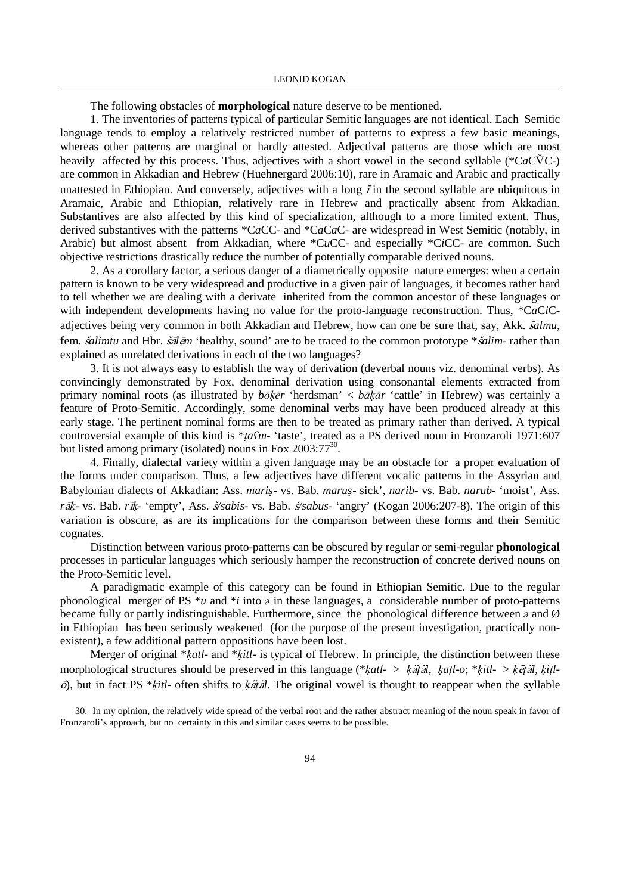The following obstacles of **morphological** nature deserve to be mentioned.

1. The inventories of patterns typical of particular Semitic languages are not identical. Each Semitic language tends to employ a relatively restricted number of patterns to express a few basic meanings, whereas other patterns are marginal or hardly attested. Adjectival patterns are those which are most heavily affected by this process. Thus, adjectives with a short vowel in the second syllable (\*C*a*CyC-) are common in Akkadian and Hebrew (Huehnergard 2006:10), rare in Aramaic and Arabic and practically unattested in Ethiopian. And conversely, adjectives with a long  $\bar{I}$  in the second syllable are ubiquitous in Aramaic, Arabic and Ethiopian, relatively rare in Hebrew and practically absent from Akkadian. Substantives are also affected by this kind of specialization, although to a more limited extent. Thus, derived substantives with the patterns \*C*a*CC- and \*C*a*C*a*C- are widespread in West Semitic (notably, in Arabic) but almost absent from Akkadian, where \*C*u*CC- and especially \*C*i*CC- are common. Such objective restrictions drastically reduce the number of potentially comparable derived nouns.

2. As a corollary factor, a serious danger of a diametrically opposite nature emerges: when a certain pattern is known to be very widespread and productive in a given pair of languages, it becomes rather hard to tell whether we are dealing with a derivate inherited from the common ancestor of these languages or with independent developments having no value for the proto-language reconstruction. Thus, \*C*a*C*i*Cadjectives being very common in both Akkadian and Hebrew, how can one be sure that, say, Akk. *šalmu*, fem. *šalimtu* and Hbr. *šālēm* 'healthy, sound' are to be traced to the common prototype \**šalim*- rather than explained as unrelated derivations in each of the two languages?

3. It is not always easy to establish the way of derivation (deverbal nouns viz. denominal verbs). As convincingly demonstrated by Fox, denominal derivation using consonantal elements extracted from primary nominal roots (as illustrated by *b*ōḳē*r* 'herdsman' < *b*āḳā*r* 'cattle' in Hebrew) was certainly a feature of Proto-Semitic. Accordingly, some denominal verbs may have been produced already at this early stage. The pertinent nominal forms are then to be treated as primary rather than derived. A typical controversial example of this kind is \**taSm*- 'taste', treated as a PS derived noun in Fronzaroli 1971:607 but listed among primary (isolated) nouns in Fox  $2003:77^{30}$ .

4. Finally, dialectal variety within a given language may be an obstacle for a proper evaluation of the forms under comparison. Thus, a few adjectives have different vocalic patterns in the Assyrian and Babylonian dialects of Akkadian: Ass. *maris*- vs. Bab. *marus*- sick', *narib*- vs. Bab. *narub*- 'moist', Ass. *rā*ķ- vs. Bab. *rī*ķ- 'empty', Ass. *š/sabis*- vs. Bab. *š/sabus*- 'angry' (Kogan 2006:207-8). The origin of this variation is obscure, as are its implications for the comparison between these forms and their Semitic cognates.

Distinction between various proto-patterns can be obscured by regular or semi-regular **phonological** processes in particular languages which seriously hamper the reconstruction of concrete derived nouns on the Proto-Semitic level.

A paradigmatic example of this category can be found in Ethiopian Semitic. Due to the regular phonological merger of PS  $\overline{a}$  and  $\overline{a}$  in these languages, a considerable number of proto-patterns became fully or partly indistinguishable. Furthermore, since the phonological difference between  $\phi$  and  $\varnothing$ in Ethiopian has been seriously weakened (for the purpose of the present investigation, practically nonexistent), a few additional pattern oppositions have been lost.

Merger of original \**katl*- and \**kitl*- is typical of Hebrew. In principle, the distinction between these morphological structures should be preserved in this language (\*ḳ*atl*- > ḳṭ*l*, ḳ*a*ṭ*l*-*o*; \*ḳ*itl*- > ḳṭ*l*, ḳ*i*ṭ*l*- ), but in fact PS \*ḳ*itl*- often shifts to ḳṭ*l*. The original vowel is thought to reappear when the syllable

<sup>30.</sup> In my opinion, the relatively wide spread of the verbal root and the rather abstract meaning of the noun speak in favor of Fronzaroli's approach, but no certainty in this and similar cases seems to be possible.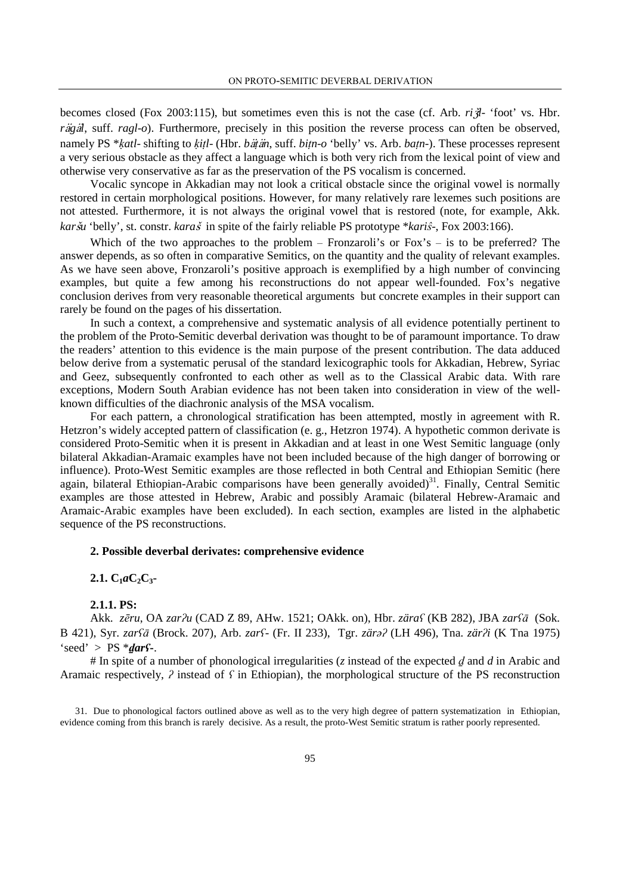becomes closed (Fox 2003:115), but sometimes even this is not the case (cf. Arb. *ril*- 'foot' vs. Hbr. *rig*<sup> $d$ </sup>, suff. *ragl*-*o*). Furthermore, precisely in this position the reverse process can often be observed, namely PS \*katl- shifting to kitl- (Hbr. bätän, suff. bitn-o 'belly' vs. Arb. batn-). These processes represent a very serious obstacle as they affect a language which is both very rich from the lexical point of view and otherwise very conservative as far as the preservation of the PS vocalism is concerned.

Vocalic syncope in Akkadian may not look a critical obstacle since the original vowel is normally restored in certain morphological positions. However, for many relatively rare lexemes such positions are not attested. Furthermore, it is not always the original vowel that is restored (note, for example, Akk. *karšu* 'belly', st. constr. *karaš* in spite of the fairly reliable PS prototype \**kariŝ*-, Fox 2003:166).

Which of the two approaches to the problem  $-$  Fronzaroli's or Fox's  $-$  is to be preferred? The answer depends, as so often in comparative Semitics, on the quantity and the quality of relevant examples. As we have seen above, Fronzaroli's positive approach is exemplified by a high number of convincing examples, but quite a few among his reconstructions do not appear well-founded. Fox's negative conclusion derives from very reasonable theoretical arguments but concrete examples in their support can rarely be found on the pages of his dissertation.

In such a context, a comprehensive and systematic analysis of all evidence potentially pertinent to the problem of the Proto-Semitic deverbal derivation was thought to be of paramount importance. To draw the readers' attention to this evidence is the main purpose оf the present contribution. The data adduced below derive from a systematic perusal of the standard lexicographic tools for Akkadian, Hebrew, Syriac and Geez, subsequently confronted to each other as well as to the Classical Arabic data. With rare exceptions, Modern South Arabian evidence has not been taken into consideration in view of the wellknown difficulties of the diachronic analysis of the MSA vocalism.

For each pattern, a chronological stratification has been attempted, mostly in agreement with R. Hetzron's widely accepted pattern of classification (e. g., Hetzron 1974). A hypothetic common derivate is considered Proto-Semitic when it is present in Akkadian and at least in one West Semitic language (only bilateral Akkadian-Aramaic examples have not been included because of the high danger of borrowing or influence). Proto-West Semitic examples are those reflected in both Central and Ethiopian Semitic (here again, bilateral Ethiopian-Arabic comparisons have been generally avoided)<sup>31</sup>. Finally, Central Semitic examples are those attested in Hebrew, Arabic and possibly Aramaic (bilateral Hebrew-Aramaic and Aramaic-Arabic examples have been excluded). In each section, examples are listed in the alphabetic sequence of the PS reconstructions.

### **2. Possible deverbal derivates: comprehensive evidence**

## $2.1. C_1aC_2C_3$

#### **2.1.1. PS:**

Akk. *z*ē*ru*, OA *zar*ʔ*u* (CAD Z 89, AHw. 1521; OAkk. on), Hbr. *zära*ʕ (KB 282), JBA *zar*ʕ¿ (Sok. B 421), Syr. *zar*ʕ¿ (Brock. 207), Arb. *zar*ʕ- (Fr. II 233), Tgr. *zär*əʔ (LH 496), Tna. *zär*ʔ*i* (K Tna 1975)  $\text{`seed'} > \text{PS} \cdot \text{`darr}$ **:** 

# In spite of a number of phonological irregularities (*z* instead of the expected ḏ and *d* in Arabic and Aramaic respectively,  $\hat{z}$  instead of  $\hat{z}$  in Ethiopian), the morphological structure of the PS reconstruction

<sup>31.</sup> Due to phonological factors outlined above as well as to the very high degree of pattern systematization in Ethiopian, evidence coming from this branch is rarely decisive. As a result, the proto-West Semitic stratum is rather poorly represented.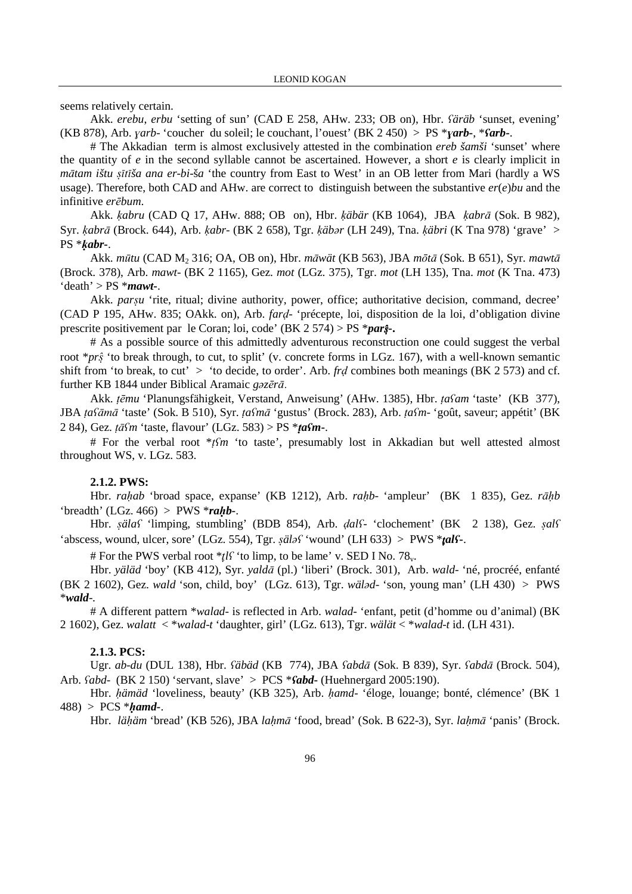seems relatively certain.

Akk. *erebu*, *erbu* 'setting of sun' (CAD E 258, AHw. 233; OB on), Hbr. ʕ*äräb* 'sunset, evening' (KB 878), Arb. ɣ*arb*- 'coucher du soleil; le couchant, l'ouest' (BK 2 450) > PS \*ɣ*arb***-**, \*ʕ*arb***-**.

# The Akkadian term is almost exclusively attested in the combination *ereb šamši* 'sunset' where the quantity of *e* in the second syllable cannot be ascertained. However, a short *e* is clearly implicit in *mātam ištu șītīša ana er-bi-ša* 'the country from East to West' in an OB letter from Mari (hardly a WS usage). Therefore, both CAD and AHw. are correct to distinguish between the substantive *er*(*e*)*bu* and the infinitive *er*ē*bum*.

Akk. *kabru* (CAD Q 17, AHw. 888; OB on), Hbr. *käbär* (KB 1064), JBA *kabrā* (Sok. B 982), Syr. ḳ*abr*¿ (Brock. 644), Arb. ḳ*abr*- (BK 2 658), Tgr. ḳ*äb*ə*r* (LH 249), Tna. ḳ*äbri* (K Tna 978) 'grave' > PS \*ḳ*abr***-**.

Akk. *m*´*tu* (CAD M2 316; OA, OB on), Hbr. *m*¿*wät* (KB 563), JBA *m*ō*t*¿ (Sok. B 651), Syr. *mawt*¿ (Brock. 378), Arb. *mawt*- (BK 2 1165), Gez. *mot* (LGz. 375), Tgr. *mot* (LH 135), Tna. *mot* (K Tna. 473) 'death' > PS \**mawt***-**.

Akk. *parsu* 'rite, ritual; divine authority, power, office; authoritative decision, command, decree' (CAD P 195, AHw. 835; OAkk. on), Arb. *far*ḍ- 'précepte, loi, disposition de la loi, d'obligation divine prescrite positivement par le Coran; loi, code' (BK 2 574) > PS \**par*s**-.** 

# As a possible source of this admittedly adventurous reconstruction one could suggest the verbal root \**pr*s 'to break through, to cut, to split' (v. concrete forms in LGz. 167), with a well-known semantic shift from 'to break, to cut' > 'to decide, to order'. Arb. *fr*ḍ combines both meanings (BK 2 573) and cf. further KB 1844 under Biblical Aramaic *g*ə*z*ē*r*¿.

Akk. ṭē*mu* 'Planungsfähigkeit, Verstand, Anweisung' (AHw. 1385), Hbr. ṭ*a*ʕ*am* 'taste' (KB 377), JBA ṭ*a*ʕ¿m¿ 'taste' (Sok. B 510), Syr. ṭ*a*ʕ*m*¿ 'gustus' (Brock. 283), Arb. ṭ*a*ʕ*m*- 'goût, saveur; appétit' (BK 2 84), Gez.  $t\bar{a}$ s*fm* 'taste, flavour' (LGz. 583) > PS \* $t\bar{a}$ *sfm*-.

# For the verbal root \*ṭʕ*m* 'to taste', presumably lost in Akkadian but well attested almost throughout WS, v. LGz. 583.

### **2.1.2. PWS:**

Hbr. *rahab* 'broad space, expanse' (KB 1212), Arb. *rahb*- 'ampleur' (BK 1 835), Gez. *rāhb* 'breadth' (LGz.  $466$ ) > PWS \*rahb-.

Hbr. §*äla*ʕ 'limping, stumbling' (BDB 854), Arb. ḍ*al*ʕ- 'clochement' (BK 2 138), Gez. §*al*ʕ 'abscess, wound, ulcer, sore' (LGz. 554), Tgr.  $\frac{\partial^2 f}{\partial x \partial y}$  'wound' (LH 633) > PWS \* $\frac{\partial^2 f}{\partial x \partial y}$ 

# For the PWS verbal root  $*_{\mathcal{U}} f$  'to limp, to be lame' v. SED I No. 78<sub>v</sub>.

Hbr. *yäläd* 'boy' (KB 412), Syr. *yald*¿ (pl.) 'liberi' (Brock. 301), Arb. *wald*- 'né, procréé, enfanté (BK 2 1602), Gez. *wald* 'son, child, boy' (LGz. 613), Tgr. *wäl*ə*d*- 'son, young man' (LH 430) > PWS \**wald*-.

# A different pattern \**walad*- is reflected in Arb. *walad*- 'enfant, petit (d'homme ou d'animal) (BK 2 1602), Gez. *walatt* < \**walad*-*t* 'daughter, girl' (LGz. 613), Tgr. *wälät* < \**walad*-*t* id. (LH 431).

### **2.1.3. PCS:**

Ugr. *ab-du* (DUL 138), Hbr. *fäbäd* (KB 774), JBA *fabdā* (Sok. B 839), Syr. *fabdā* (Brock. 504), Arb. ʕ*abd*- (BK 2 150) 'servant, slave' > PCS \*ʕ*abd***-** (Huehnergard 2005:190).

Hbr. hämäd 'loveliness, beauty' (KB 325), Arb. hamd- 'éloge, louange; bonté, clémence' (BK 1) 488) > PCS \*ḥ*amd-*.

Hbr. *lä*ḥ*äm* 'bread' (KB 526), JBA *la*ḥ*m*¿ 'food, bread' (Sok. B 622-3), Syr. *la*ḥ*m*¿ 'panis' (Brock.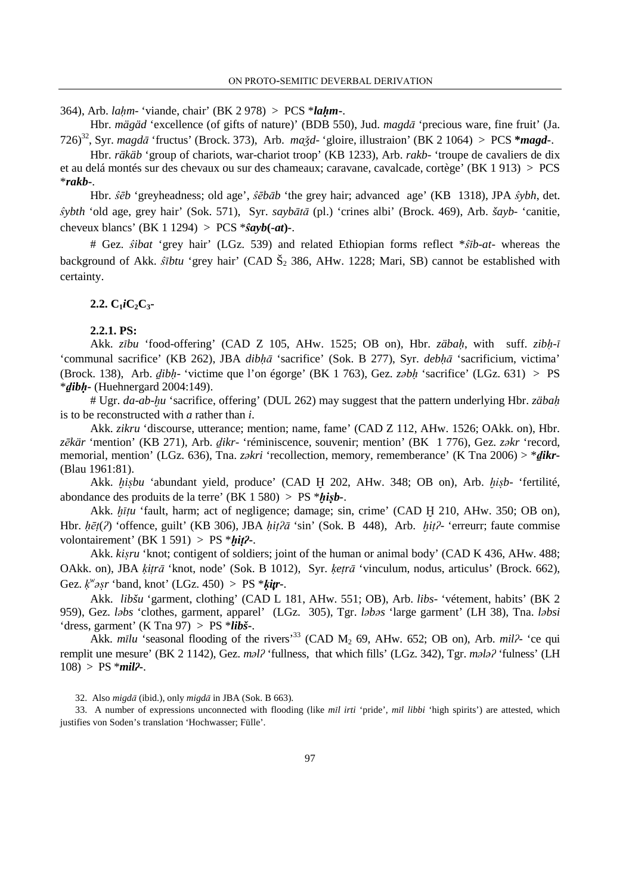364), Arb. *la*ḥ*m*- 'viande, chair' (BK 2 978) > PCS \**la*ḥ*m***-**.

Hbr. *mägäd* 'excellence (of gifts of nature)' (BDB 550), Jud. *magdā* 'precious ware, fine fruit' (Ja. 726)<sup>32</sup>, Syr. *magd*¿ 'fructus' (Brock. 373), Arb. *ma*∵*d*- 'gloire, illustraion' (BK 2 1064) > PCS **\****magd***-**.

Hbr. *räkäb* 'group of chariots, war-chariot troop' (KB 1233), Arb. *rakb*- 'troupe de cavaliers de dix et au delá montés sur des chevaux ou sur des chameaux; caravane, cavalcade, cortège' (BK 1 913) > PCS \**rakb***-**.

Hbr.  $\hat{s}\bar{e}b$  'greyheadness; old age',  $\hat{s}\bar{e}b\bar{a}b$  'the grey hair; advanced age' (KB 1318), JPA  $\hat{s}ybh$ , det. *fybth* 'old age, grey hair' (Sok. 571), Syr. *saybātā* (pl.) 'crines albi' (Brock. 469), Arb. *šayb*- 'canitie, cheveux blancs' (BK 1 1294) > PCS  $*\hat{s}a\nu b(-at)$ -.

# Gez.  $\hat{s}ibat$  'grey hair' (LGz. 539) and related Ethiopian forms reflect \* $\hat{s}$ *ib-at*- whereas the background of Akk. *stbtu* 'grey hair' (CAD  $\check{S}_2$  386, AHw. 1228; Mari, SB) cannot be established with certainty.

#### $2.2. C_1$ *i* $C_2$  $C_3$

#### **2.2.1. PS:**

Akk. *z* $\overline{v}$ bu 'food-offering' (CAD Z 105, AHw. 1525; OB on), Hbr. *zäbah*, with suff. *zibh-* $\overline{v}$ 'communal sacrifice' (KB 262), JBA *dibhā* 'sacrifice' (Sok. B 277), Syr. *debhā* 'sacrificium, victima' (Brock. 138), Arb. ḏ*ib*ḥ- 'victime que l'on égorge' (BK 1 763), Gez. *z*ə*b*ḥ 'sacrifice' (LGz. 631) > PS \*ḏ*ib*ḥ**-** (Huehnergard 2004:149).

# Ugr. *da*-*ab*-≠*u* 'sacrifice, offering' (DUL 262) may suggest that the pattern underlying Hbr. *zäba*ḥ is to be reconstructed with *a* rather than *i*.

Akk. *zikru* 'discourse, utterance; mention; name, fame' (CAD Z 112, AHw. 1526; OAkk. on), Hbr. *z*ē*kär* 'mention' (KB 271), Arb. ḏ*ikr*- 'réminiscence, souvenir; mention' (BK 1 776), Gez. *z*ə*kr* 'record, memorial, mention' (LGz. 636), Tna. *z*ə*kri* 'recollection, memory, rememberance' (K Tna 2006) > \*ḏ*ikr***-** (Blau 1961:81).

Akk. ≠*i*§*bu* 'abundant yield, produce' (CAD Ḫ 202, AHw. 348; OB on), Arb. ≠i§*b*- 'fertilité, abondance des produits de la terre'  $(BK 1 580) > PS * *hisb-*.$ 

Akk. *hītu* 'fault, harm; act of negligence; damage; sin, crime' (CAD H 210, AHw. 350; OB on), Hbr. hēt(?) 'offence, guilt' (KB 306), JBA hit?ā 'sin' (Sok. B 448), Arb. hit?- 'erreurr; faute commise volontairement' (BK 1 591) > PS \*ḫ*i*ṭʔ**-**.

Akk. *kisru* 'knot; contigent of soldiers; joint of the human or animal body' (CAD K 436, AHw. 488; OAkk. on), JBA *ķitrā* 'knot, node' (Sok. B 1012), Syr. *ķetrā* 'vinculum, nodus, articulus' (Brock. 662), Gez. ḳ *w* ə§*r* 'band, knot' (LGz. 450) > PS \*ḳ*i*t*r***-**.

Akk. *libšu* 'garment, clothing' (CAD L 181, AHw. 551; OB), Arb. *libs*- 'vétement, habits' (BK 2 959), Gez. *l*ə*bs* 'clothes, garment, apparel' (LGz. 305), Tgr. *l*ə*b*ə*s* 'large garment' (LH 38), Tna. *l*ə*bsi* 'dress, garment' (K Tna 97) > PS \**libš***-**.

Akk. *mīlu* 'seasonal flooding of the rivers<sup>33</sup> (CAD  $M_2$  69, AHw. 652; OB on), Arb. *mil* $\frac{2}{3}$  'ce qui remplit une mesure' (BK 2 1142), Gez. *m*ə*l*ʔ 'fullness, that which fills' (LGz. 342), Tgr. *m*ə*l*əʔ 'fulness' (LH 108) > PS \**mil*ʔ**-**.

32. Also *migdā* (ibid.), only *migdā* in JBA (Sok. B 663).

33. A number of expressions unconnected with flooding (like *mīl irti* 'pride', *mīl libbi* 'high spirits') are attested, which justifies von Soden's translation 'Hochwasser; Fülle'.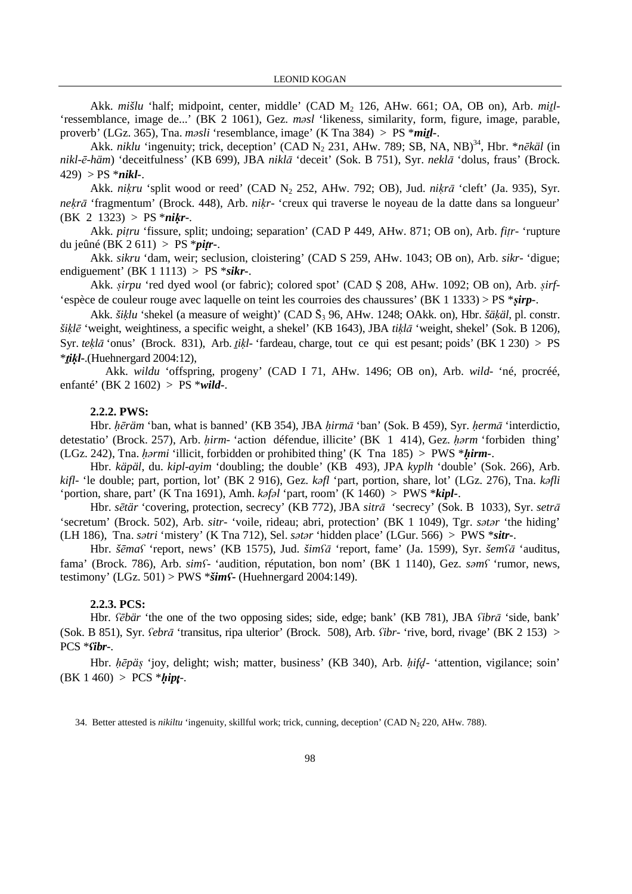Akk. *mišlu* 'half; midpoint, center, middle' (CAD M<sub>2</sub> 126, AHw. 661; OA, OB on), Arb. *mitl-*'ressemblance, image de...' (BK 2 1061), Gez. *m*ə*sl* 'likeness, similarity, form, figure, image, parable, proverb' (LGz. 365), Tna. *m*ə*sli* 'resemblance, image' (K Tna 384) > PS \**mi*ṯ*l***-**.

Akk. *niklu* 'ingenuity; trick, deception' (CAD N<sub>2</sub> 231, AHw. 789; SB, NA, NB)<sup>34</sup>, Hbr. \**nēkäl* (in *nikl-ē-häm*) 'deceitfulness' (KB 699), JBA *niklā* 'deceit' (Sok. B 751), Syr. *neklā* 'dolus, fraus' (Brock. 429) > PS \**nikl-*.

Akk. *nikru* 'split wood or reed' (CAD N<sub>2</sub> 252, AHw. 792; OB), Jud. *nikrā* 'cleft' (Ja. 935), Syr. *ne*ḳ*r*¿ 'fragmentum' (Brock. 448), Arb. *ni*ḳ*r*- 'creux qui traverse le noyeau de la datte dans sa longueur'  $(BK \ 2 \ 1323) > PS *nikr$ 

Akk. *pi*ṭ*ru* 'fissure, split; undoing; separation' (CAD P 449, AHw. 871; OB on), Arb. *fi*ṭ*r*- 'rupture du jeûné (BK 2 611) > PS \**pi*ṭ*r***-**.

Akk. *sikru* 'dam, weir; seclusion, cloistering' (CAD S 259, AHw. 1043; OB on), Arb. *sikr*- 'digue; endiguement' (BK 1 1113) > PS \**sikr***-**.

Akk. §*irpu* 'red dyed wool (or fabric); colored spot' (CAD Ṣ 208, AHw. 1092; OB on), Arb. §*irf*- 'espèce de couleur rouge avec laquelle on teint les courroies des chaussures' (BK 1 1333) > PS \*ṣ*irp***-**.

Akk. *šiķlu* 'shekel (a measure of weight)' (CAD Š<sub>3</sub> 96, AHw. 1248; OAkk. on), Hbr. *šäķäl*, pl. constr. *ši*ḳ*l*ē 'weight, weightiness, a specific weight, a shekel' (KB 1643), JBA *ti*ḳ*l*¿ 'weight, shekel' (Sok. B 1206), Syr. *tek*<sup>l</sup> $\bar{a}$  'onus' (Brock. 831), Arb. *tik*<sup> $l$ </sup>- 'fardeau, charge, tout ce qui est pesant; poids' (BK 1 230) > PS \*ṯ*i*ḳ*l***-**.(Huehnergard 2004:12),

 Akk. *wildu* 'offspring, progeny' (CAD I 71, AHw. 1496; OB on), Arb. *wild*- 'né, procréé, enfanté' (BK 2 1602) > PS \**wild***-**.

## **2.2.2. PWS:**

Hbr. hēräm 'ban, what is banned' (KB 354), JBA hirmā 'ban' (Sok. B 459), Syr. hermā 'interdictio, detestatio' (Brock. 257), Arb. *hirm*- 'action défendue, illicite' (BK 1 414), Gez. *harm* 'forbiden thing' (LGz. 242), Tna. ḥə*rmi* 'illicit, forbidden or prohibited thing' (K Tna 185) > PWS \*ḥ*irm-*.

Hbr. *käpäl*, du. *kipl*-*ayim* 'doubling; the double' (KB 493), JPA *kyplh* 'double' (Sok. 266), Arb. *kifl*- 'le double; part, portion, lot' (BK 2 916), Gez. *k*ə*fl* 'part, portion, share, lot' (LGz. 276), Tna. *k*ə*fli* 'portion, share, part' (K Tna 1691), Amh. *k*ə*f*ə*l* 'part, room' (K 1460) > PWS \**kipl***-**.

Hbr. *sētär* 'covering, protection, secrecy' (KB 772), JBA *sitrā* 'secrecy' (Sok. B 1033), Syr. *setrā* 'secretum' (Brock. 502), Arb. *sitr-* 'voile, rideau; abri, protection' (BK 1 1049), Tgr. *s*ə*t*ə*r* 'the hiding' (LH 186), Tna. *s*ə*tri* 'mistery' (K Tna 712), Sel. *s*ə*t*ə*r* 'hidden place' (LGur. 566) > PWS \**sitr***-**.

Hbr. *šēma*s 'report, news' (KB 1575), Jud. *šimsā* 'report, fame' (Ja. 1599), Syr. *šemsā* 'auditus, fama' (Brock. 786), Arb. *sim*ʕ- 'audition, réputation, bon nom' (BK 1 1140), Gez. *s*ə*m*ʕ 'rumor, news, testimony' (LGz. 501) > PWS \**šim*ʕ**-** (Huehnergard 2004:149).

#### **2.2.3. PCS:**

Hbr. *sebär* 'the one of the two opposing sides; side, edge; bank' (KB 781), JBA *sibra* 'side, bank' (Sok. B 851), Syr. *febrā* 'transitus, ripa ulterior' (Brock. 508), Arb. *fibr*- 'rive, bord, rivage' (BK 2 153) > PCS \*ʕ*ibr***-**.

Hbr. ḥē*pä*§ 'joy, delight; wish; matter, business' (KB 340), Arb. ḥ*if*d- 'attention, vigilance; soin'  $(BK 1 460) > PCS * *hipt-*.$ 

34. Better attested is *nikiltu* 'ingenuity, skillful work; trick, cunning, deception' (CAD N<sub>2</sub> 220, AHw. 788).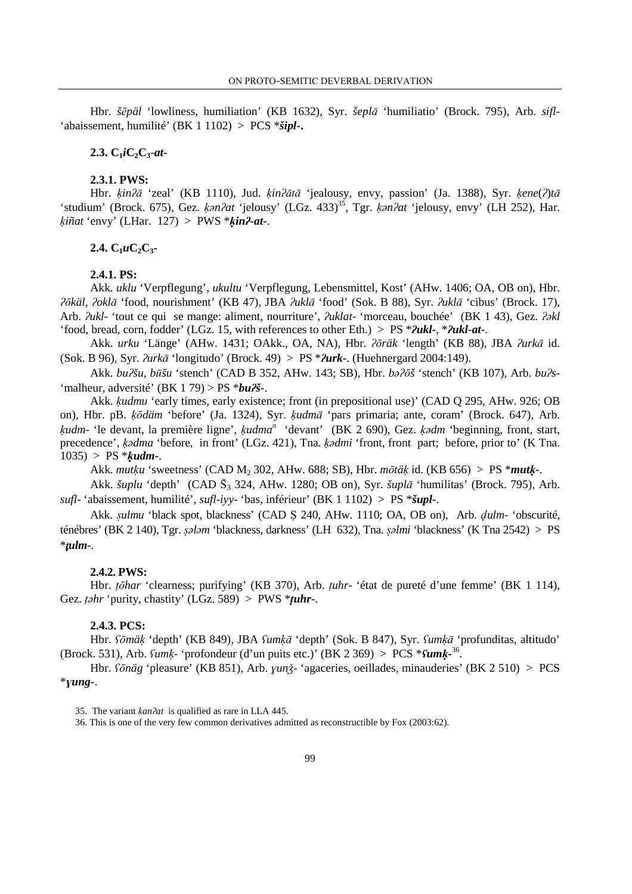Hbr. *šēpäl* 'lowliness, humiliation' (KB 1632), Syr. *šeplā* 'humiliatio' (Brock. 795), Arb. *sifl*-'abaissement, humilité' (BK 1 1102) > PCS \**šipl***-.** 

#### **2.3.**  $C_1iC_2C_3$ -at-

### **2.3.1. PWS:**

Hbr.  $\kappa$ *in*<sup>2</sup> $\bar{a}$  'zeal' (KB 1110), Jud.  $\kappa$ *in*<sup>2</sup> $\bar{a}$  'jealousy, envy, passion' (Ja. 1388), Syr.  $\kappa$ *ene*(2)<sup>t $\bar{a}$ </sup> 'studium' (Brock. 675), Gez. ḳə*n*ʔ*at* 'jelousy' (LGz. 433)<sup>35</sup>, Tgr. ḳə*n*ʔ*at* 'jelousy, envy' (LH 252), Har. ḳ*iñat* 'envy' (LHar. 127) > PWS \*ḳ*in*ʔ**-***at***-**.

### **2.4.**  $C_1 u C_2 C_3$

### **2.4.1. PS:**

Akk. *uklu* 'Verpflegung', *ukultu* 'Verpflegung, Lebensmittel, Kost' (AHw. 1406; OA, OB on), Hbr. ʔō*käl*, ʔ*okl*¿ 'food, nourishment' (KB 47), JBA ʔ*ukl*¿ 'food' (Sok. B 88), Syr. ʔ*ukl*¿ 'cibus' (Brock. 17), Arb. ʔ*ukl*- 'tout ce qui se mange: aliment, nourriture', ʔ*uklat*- 'morceau, bouchée' (BK 1 43), Gez. ʔə*kl* 'food, bread, corn, fodder' (LGz. 15, with references to other Eth.) > PS \*ʔ*ukl***-**, \*ʔ*ukl***-***at***-**.

Akk. *urku* 'Länge' (AHw. 1431; OAkk., OA, NA), Hbr. *?ōräk* 'length' (KB 88), JBA *?urkā* id. (Sok. B 96), Syr.  $\frac{\partial w}{\partial x}$  'longitudo' (Brock. 49) > PS \* $\frac{\partial w}{\partial x}$ . (Huehnergard 2004:149).

Akk. *bu*ʔ*šu*, *b*´*šu* 'stench' (CAD B 352, AHw. 143; SB), Hbr. *b*əʔō*š* 'stench' (KB 107), Arb. *bu*ʔ*s*- 'malheur, adversité' (BK 1 79) >  $PS * bu2\$ 

Akk. *kudmu* 'early times, early existence; front (in prepositional use)' (CAD O 295, AHw. 926; OB on), Hbr. pB. *ķōdäm* 'before' (Ja. 1324), Syr. *ķudmā* 'pars primaria; ante, coram' (Brock. 647), Arb. ḳ*udm*- 'le devant, la première ligne', ḳ*udma<sup>n</sup>* 'devant' (BK 2 690), Gez. ḳə*dm* 'beginning, front, start, precedence', ḳə*dma* 'before, in front' (LGz. 421), Tna. ḳə*dmi* 'front, front part; before, prior to' (K Tna. 1035) > PS \*ḳ*udm***-**.

Akk. *mut*ḳ*u* 'sweetness' (CAD M2 302, AHw. 688; SB), Hbr. *m*ō*tä*ḳ id. (KB 656) > PS \**mut*ḳ*-*.

Akk. *šuplu* 'depth' (CAD S3 324, AHw. 1280; OB on), Syr. *šupl*¿ 'humilitas' (Brock. 795), Arb. *sufl*- 'abaissement, humilité', *sufl*-*iyy*- 'bas, inférieur' (BK 1 1102) > PS \**šupl***-**.

Akk. §*ulmu* 'black spot, blackness' (CAD Ṣ 240, AHw. 1110; OA, OB on), Arb. d*ulm*- 'obscurité, ténébres' (BK 2 140), Tgr. §ə*l*ə*m* 'blackness, darkness' (LH 632), Tna. §ə*lmi* 'blackness' (K Tna 2542) > PS \*t*ulm*-.

#### **2.4.2. PWS:**

Hbr. ṭō*har* 'clearness; purifying' (KB 370), Arb. ṭ*uhr*- 'état de pureté d'une femme' (BK 1 114), Gez.  $\tau$ *ishr* 'purity, chastity' (LGz. 589) > PWS \* $\tau$ *uhr*-.

#### **2.4.3. PCS:**

Hbr. *fōmä*ķ 'depth' (KB 849), JBA *fumķā* 'depth' (Sok. B 847), Syr. *fumķā* 'profunditas, altitudo' (Brock. 531), Arb. ʕ*um*ḳ- 'profondeur (d'un puits etc.)' (BK 2 369) > PCS \*ʕ*um*ḳ**-**36 .

Hbr. ʕō*näg* 'pleasure' (KB 851), Arb. ɣ*un*∵- 'agaceries, oeillades, minauderies' (BK 2 510) > PCS \*ɣ*ung***-**.

36. This is one of the very few common derivatives admitted as reconstructible by Fox (2003:62).

<sup>35.</sup> The variant ḳ*an*ʔ*at* is qualified as rare in LLA 445.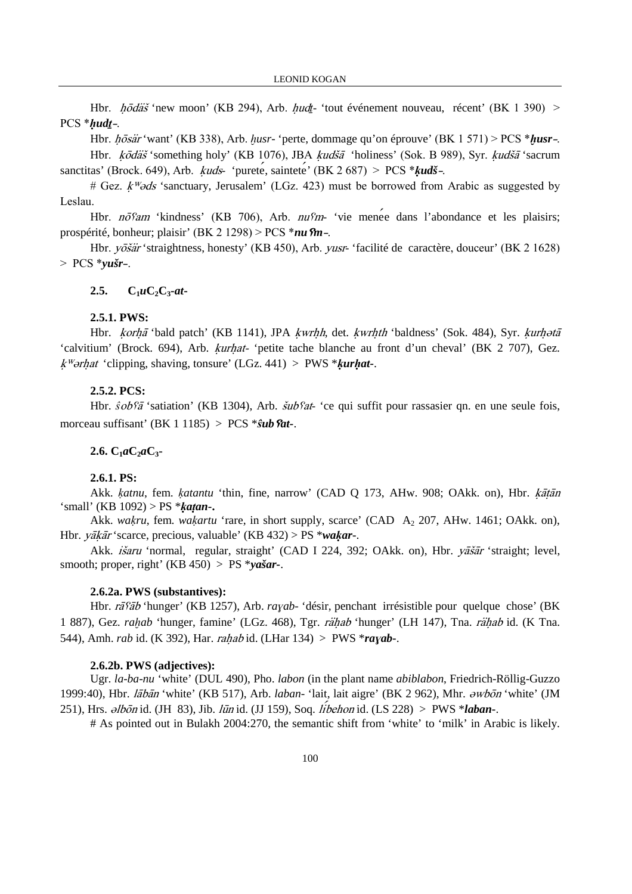Hbr.  $h\bar{\phi}d\tilde{a}\tilde{s}$  'new moon' (KB 294), Arb.  $hud_z$  'tout événement nouveau, récent' (BK 1 390) > PCS \*hudt-.

Hbr. *hōsär* 'want' (KB 338), Arb. *husr*- 'perte, dommage qu'on éprouve' (BK 1 571) > PCS \**husr*-.

Hbr. *kodäš* 'something holy' (KB 1076), JBA *kudšā* 'holiness' (Sok. B 989), Syr. *kudšā* 'sacrum sanctitas' (Brock. 649), Arb. ḳuds- 'purete, saintete' (BK 2 687) > PCS \*ḳ*udš*-.

# Gez.  $k\%$ ds 'sanctuary, Jerusalem' (LGz. 423) must be borrowed from Arabic as suggested by Leslau.

Hbr.  $n\bar{\phi}$ am 'kindness' (KB 706), Arb.  $nufm$ - 'vie menee dans l'abondance et les plaisirs; prospérité, bonheur; plaisir' (BK 2 1298) > PCS \**nu*ȥ*m*-.

Hbr. yōšär 'straightness, honesty' (KB 450), Arb. yusr- 'facilité de caractère, douceur' (BK 2 1628) > PCS \**yušr*-.

## 2.5.  $C_1 u C_2 C_3 \cdot at$

#### **2.5.1. PWS:**

Hbr. *korhā* 'bald patch' (KB 1141), JPA *kwrhh*, det. *kwrhth* 'baldness' (Sok. 484), Syr. *kurhotā* 'calvitium' (Brock. 694), Arb. *kurhat*- 'petite tache blanche au front d'un cheval' (BK 2 707), Gez. ḳɀǩrhat 'clipping, shaving, tonsure' (LGz. 441) > PWS \*ḳ*ur*ḥ*at-*.

## **2.5.2. PCS:**

Hbr.  $\hat{s}$ ob $\hat{s}$  'satiation' (KB 1304), Arb.  $\hat{s}$ ub $\hat{s}$ at- 'ce qui suffit pour rassasier qn. en une seule fois, morceau suffisant' (BK 1 1185) > PCS \*s<sup>3</sup>*ub Sat-*.

## $2.6. C_1aC_2aC_3$

### **2.6.1. PS:**

Akk. *ķatnu*, fem. *ķatantu* 'thin, fine, narrow' (CAD Q 173, AHw. 908; OAkk. on), Hbr. *ķātān* 'small' (KB 1092) > PS \*ḳ*a*ṭ*an***-.** 

Akk. *wakru*, fem. *wakartu* 'rare, in short supply, scarce' (CAD A<sub>2</sub> 207, AHw. 1461; OAkk. on), Hbr. *yākār* 'scarce, precious, valuable' (KB 432) > PS \**wakar*-.

Akk. išaru 'normal, regular, straight' (CAD I 224, 392; OAkk. on), Hbr. yāšār 'straight; level, smooth; proper, right' (KB 450) > PS \**yašar-*.

#### **2.6.2a. PWS (substantives):**

Hbr. *rā<sup>ç</sup>āb* 'hunger' (KB 1257), Arb. *rayab*- 'désir, penchant irrésistible pour quelque chose' (BK 1 887), Gez. *rahab* 'hunger, famine' (LGz. 468), Tgr. *rähab* 'hunger' (LH 147), Tna. *rähab* id. (K Tna. 544), Amh. *rab* id. (K 392), Har. rahab id. (LHar 134) > PWS \**ra*ɣ*ab***-**.

#### **2.6.2b. PWS (adjectives):**

Ugr. *la*-*ba*-*nu* 'white' (DUL 490), Pho. *labon* (in the plant name *abiblabon*, Friedrich-Röllig-Guzzo 1999:40), Hbr. *lābān* 'white' (KB 517), Arb. *laban*- 'lait, lait aigre' (BK 2 962), Mhr. *əwbōn* 'white' (JM 251), Hrs.  $\partial l\bar{\partial}$ n id. (JH 83), Jib. *lūn* id. (JJ 159), Soq. *libehon* id. (LS 228) > PWS \**laban*-.

# As pointed out in Bulakh 2004:270, the semantic shift from 'white' to 'milk' in Arabic is likely.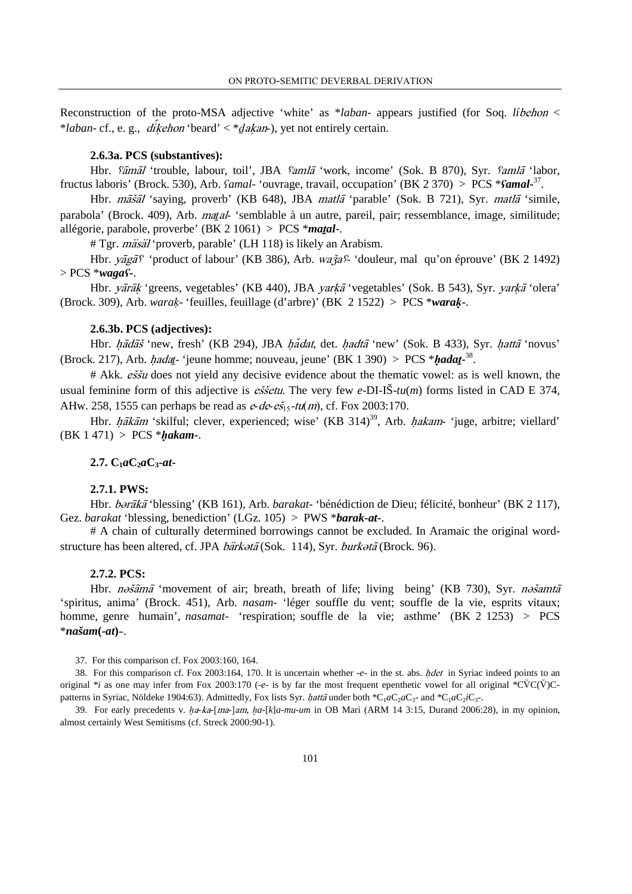Reconstruction of the proto-MSA adjective 'white' as \**laban*- appears justified (for Soq. *lí*behon < \**laban*- cf., e. g., diḳehon 'beard' < \*ḏaḳan-), yet not entirely certain.

#### **2.6.3a. PCS (substantives):**

Hbr.  $\delta \vec{a}$ māl 'trouble, labour, toil', JBA  $\delta$ amla 'work, income' (Sok. B 870), Syr.  $\delta$ amla 'labor, fructus laboris' (Brock. 530), Arb. ʕ*amal*- 'ouvrage, travail, occupation' (BK 2 370) > PCS \*ʕ*amal***-**37 .

Hbr. *māšāl* 'saying, proverb' (KB 648), JBA *matlā* 'parable' (Sok. B 721), Syr. *matlā* 'simile, parabola' (Brock. 409), Arb. *matal*- 'semblable à un autre, pareil, pair; ressemblance, image, similitude; allégorie, parabole, proverbe' (BK 2 1061) > PCS \**ma*ṯ*al*-.

# Tgr. *mäsäl* 'proverb, parable' (LH 118) is likely an Arabism.

Hbr.  $y\bar{a}g\bar{a}f'$  'product of labour' (KB 386), Arb. wa $\dot{a}gf'$  'douleur, mal qu'on éprouve' (BK 2 1492) > PCS \**waga*ʕ**-**.

Hbr. *yārāk* 'greens, vegetables' (KB 440), JBA *yarkā* 'vegetables' (Sok. B 543), Syr. *yarkā* 'olera' (Brock. 309), Arb. *wara*ḳ- 'feuilles, feuillage (d'arbre)' (BK 2 1522) > PCS \**wara*ḳ**-**.

#### **2.6.3b. PCS (adjectives):**

Hbr. hādāš 'new, fresh' (KB 294), JBA hadat, det. hadtā 'new' (Sok. B 433), Syr. hattā 'novus' (Brock. 217), Arb. *hadat*- 'jeune homme; nouveau, jeune' (BK 1 390) > PCS \*hada*t*-<sup>38</sup>.

 $#$  Akk. *eššu* does not yield any decisive evidence about the thematic vowel: as is well known, the usual feminine form of this adjective is *essetu*. The very few *e*-DI-IS- $tu(m)$  forms listed in CAD E 374, AHw. 258, 1555 can perhaps be read as  $e-de-e\zeta_{15}-t\iota(m)$ , cf. Fox 2003:170.

Hbr.  $h\bar{\tilde{a}}k\bar{\tilde{a}}m$  'skilful; clever, experienced; wise' (KB 314)<sup>39</sup>, Arb. hakam- 'juge, arbitre; viellard' (BK 1 471) > PCS \*ḥ*akam-*.

## $2.7. C_1aC_2aC_3$ **-***at*

#### **2.7.1. PWS:**

Hbr. *bərākā* 'blessing' (KB 161), Arb. *barakat*- 'bénédiction de Dieu; félicité, bonheur' (BK 2 117), Gez. *barakat* 'blessing, benediction' (LGz. 105) > PWS \**barak***-***at***-**.

# A chain of culturally determined borrowings cannot be excluded. In Aramaic the original wordstructure has been altered, cf. JPA bärk∂tā (Sok. 114), Syr. burk∂tā (Brock. 96).

#### **2.7.2. PCS:**

Hbr. nošāmā 'movement of air; breath, breath of life; living being' (KB 730), Syr. nošamtā 'spiritus, anima' (Brock. 451), Arb. *nasam-* 'léger souffle du vent; souffle de la vie, esprits vitaux; homme, genre humain', *nasamat*- 'respiration; souffle de la vie; asthme' (BK 2 1253) > PCS \**našam***(***-at***)**-.

37. For this comparison cf. Fox 2003:160, 164.

38. For this comparison cf. Fox 2003:164, 170. It is uncertain whether -*e*- in the st. abs. hdetin Syriac indeed points to an original  $*_i$  as one may infer from Fox 2003:170 ( $-e$ - is by far the most frequent epenthetic vowel for all original  $^*C\text{V}C(\text{V})C$ patterns in Syriac, Nöldeke 1904:63). Admittedly, Fox lists Syr. *hattā* under both \*C<sub>1</sub>aC<sub>2</sub>aC<sub>3</sub>- and \*C<sub>1</sub>aC<sub>2</sub>iC<sub>3</sub>-.

39. For early precedents v.  $ha-ka-[ma-]am$ ,  $ha-[k]a-mu-um$  in OB Mari (ARM 14 3:15, Durand 2006:28), in my opinion, almost certainly West Semitisms (cf. Streck 2000:90-1).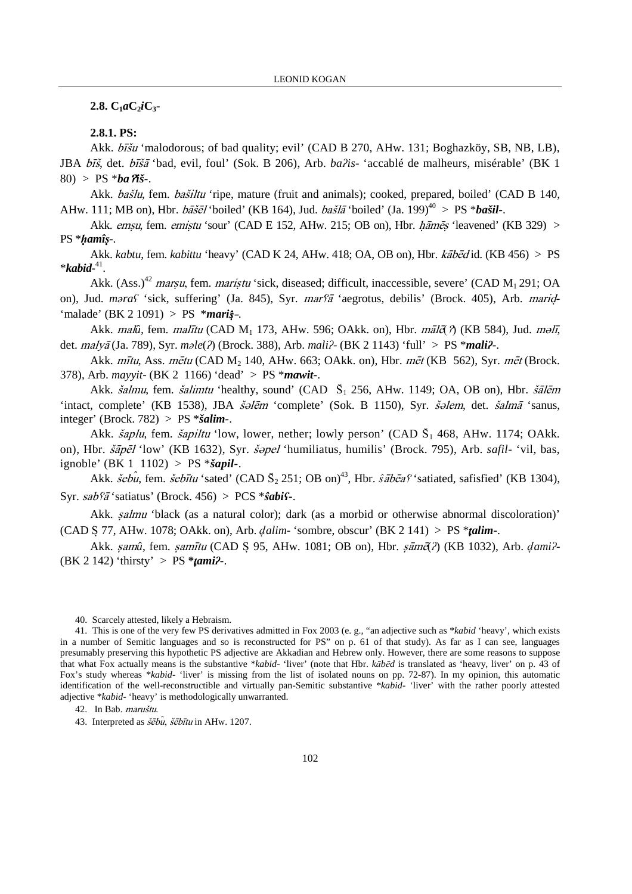$2.8$ *C***<sub>1</sub>***a***<b>C**<sub>2</sub>*i***C**<sub>3</sub>**-**

**2.8.1. PS:** 

Akk. *bīšu* 'malodorous; of bad quality; evil' (CAD B 270, AHw. 131; Boghazköy, SB, NB, LB), JBA bīš, det. bīšā 'bad, evil, foul' (Sok. B 206), Arb. *ba?is*- 'accablé de malheurs, misérable' (BK 1 80) > PS  $*ba$   $\tilde{a}$ *i*<sub>2</sub>**-**.

Akk. *bašlu*, fem. *bašiltu* 'ripe, mature (fruit and animals); cooked, prepared, boiled' (CAD B 140, AHw. 111; MB on), Hbr.  $b\tilde{a}\tilde{s}\tilde{e}l'$  boiled' (KB 164), Jud.  $b\tilde{a}\tilde{s}l\tilde{a}'$  'boiled' (Ja. 199)<sup>40</sup> > PS \* $b\tilde{a}\tilde{s}il-$ .

Akk. emsu, fem. emistu 'sour' (CAD E 152, AHw. 215; OB on), Hbr. hāmes 'leavened' (KB 329) > PS \*ḥ*amî*ṣ*-*.

Akk. *kabtu*, fem. *kabittu* 'heavy' (CAD K 24, AHw. 418; OA, OB on), Hbr. *kābēd* id. (KB 456) > PS \**kabid***-**41 .

Akk. (Ass.)<sup>42</sup> marsu, fem. maristu 'sick, diseased; difficult, inaccessible, severe' (CAD  $M_1$  291; OA on), Jud. *maras* 'sick, suffering' (Ja. 845), Syr. mars<sup>a</sup> 'aegrotus, debilis' (Brock. 405), Arb. marid-'malade' (BK 2 1091) > PS \**mari*s-.

Akk. *malû*, fem. *malītu* (CAD M<sub>1</sub> 173, AHw. 596; OAkk. on), Hbr. *māl*ζ *ή* (KB 584), Jud. *məlī*, det. *malyā* (Ja. 789), Syr. *male*(?) (Brock. 388), Arb. *mali*? (BK 2 1143) 'full' > PS \**mali*?-.

Akk. *mītu*, Ass. *mētu* (CAD M<sub>2</sub> 140, AHw. 663; OAkk. on), Hbr. *mēt* (KB 562), Syr. *mēt* (Brock. 378), Arb. *mayyit*- (BK 2 1166) 'dead' > PS \**mawit***-**.

Akk.  $\check{salmu}$ , fem.  $\check{salim}tu$  'healthy, sound' (CAD  $\check{S}_1$  256, AHw. 1149; OA, OB on), Hbr.  $\check{sal\,}$ 'intact, complete' (KB 1538), JBA šəlēm 'complete' (Sok. B 1150), Syr. šəlem, det. šalmā 'sanus, integer' (Brock. 782) > PS \**šalim-*.

Akk. *šaplu*, fem. *šapiltu* 'low, lower, nether; lowly person' (CAD  $\bar{S}_1$  468, AHw. 1174; OAkk. on), Hbr. pl 'low' (KB 1632), Syr. ǩpel 'humiliatus, humilis' (Brock. 795), Arb. *safil*- 'vil, bas, ignoble' (BK 1 1102) > PS \**šapil***-**.

Akk. *šebu*, fem. *šebītu* 'sated' (CAD  $\bar{S}_2$  251; OB on)<sup>43</sup>, Hbr. *sābēas* 'satiated, safisfied' (KB 1304), Syr.  $sab\bar{a}$  'satiatus' (Brock. 456) > PCS  $*\hat{s}abi\bar{s}$ -.

Akk. *salmu* 'black (as a natural color); dark (as a morbid or otherwise abnormal discoloration)' (CAD S 77, AHw. 1078; OAkk. on), Arb. d*alim*- 'sombre, obscur' (BK 2 141) > PS \*t*alim***-**.

Akk. samû, fem. samītu (CAD S 95, AHw. 1081; OB on), Hbr. sāmē(?) (KB 1032), Arb. dami?-(BK 2 142) 'thirsty' > PS **\***t*ami*ʔ**-**.

42. In Bab. maruštu.

43. Interpreted as  $\delta \epsilon \delta \hat{u}$ ,  $\delta \epsilon \delta \bar{u}$  in AHw. 1207.

<sup>40.</sup> Scarcely attested, likely a Hebraism.

<sup>41.</sup> This is one of the very few PS derivatives admitted in Fox 2003 (e. g., "an adjective such as \**kabid* 'heavy', which exists in a number of Semitic languages and so is reconstructed for PS" on p. 61 of that study). As far as I can see, languages presumably preserving this hypothetic PS adjective are Akkadian and Hebrew only. However, there are some reasons to suppose that what Fox actually means is the substantive \**kabid*- 'liver' (note that Hbr. *k*ā*b*ē*d* is translated as 'heavy, liver' on p. 43 of Fox's study whereas \**kabid*- 'liver' is missing from the list of isolated nouns on pp. 72-87). In my opinion, this automatic identification of the well-reconstructible and virtually pan-Semitic substantive \**kabid*- 'liver' with the rather poorly attested adjective \**kabid*- 'heavy' is methodologically unwarranted.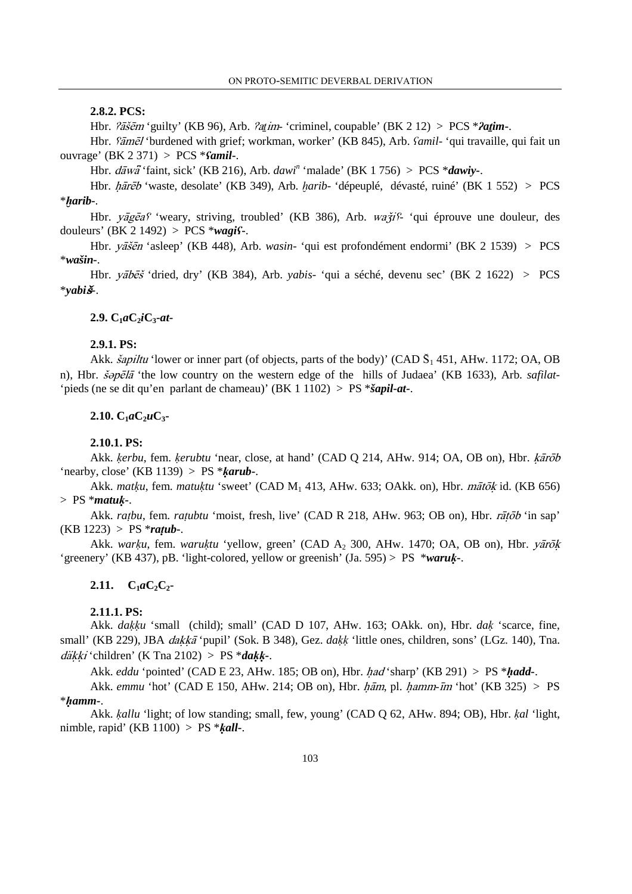### **2.8.2. PCS:**

Hbr.  $\hat{i}$ ašem 'guilty' (KB 96), Arb.  $\hat{i}$ atim- 'criminel, coupable' (BK 2 12) > PCS \* $\hat{i}$ atim-.

Hbr. *fāmēl* 'burdened with grief; workman, worker' (KB 845), Arb. *famil*- 'qui travaille, qui fait un ouvrage' (BK 2 371) > PCS \*ʕ*amil***-**.

Hbr.  $d\overline{a}w\overline{a}$  'faint, sick' (KB 216), Arb.  $dawi^n$  'malade' (BK 1756) > PCS \* $dawiy$ -.

Hbr. *hārēb* 'waste, desolate' (KB 349), Arb. *harib*- 'dépeuplé, dévasté, ruiné' (BK 1 552) > PCS \*≠*arib-*.

Hbr.  $v\bar{a}g\bar{c}a\gamma$  'weary, striving, troubled' (KB 386), Arb.  $w\bar{a}\gamma\gamma$  'qui éprouve une douleur, des douleurs' (BK 2 1492) > PCS \**wagi*ʕ**-**.

Hbr. yāšēn 'asleep' (KB 448), Arb. *wasin*- 'qui est profondément endormi' (BK 2 1539) > PCS \**wašin-*.

Hbr. yābēš 'dried, dry' (KB 384), Arb. *yabis*- 'qui a séché, devenu sec' (BK 2 1622) > PCS \**yabi-*.

#### **2.9. C1***a***C2***i***C3-***at***-**

## **2.9.1. PS:**

Akk. *šapiltu* 'lower or inner part (of objects, parts of the body)' (CAD  $\tilde{S}_1$  451, AHw. 1172; OA, OB n), Hbr. *šopēlā* 'the low country on the western edge of the hills of Judaea' (KB 1633), Arb. *safilat*-'pieds (ne se dit qu'en parlant de chameau)' (BK 1 1102) > PS \**šapil-at-*.

### $2.10. C_1aC_2uC_3$

## **2.10.1. PS:**

Akk. *kerbu*, fem. *kerubtu* 'near, close, at hand' (CAD Q 214, AHw. 914; OA, OB on), Hbr. *karob* 'nearby, close' (KB  $1139$ ) > PS  $**karub*$ -.

Akk. *mat*ķu, fem. matuķtu 'sweet' (CAD M<sub>1</sub> 413, AHw. 633; OAkk. on), Hbr. mātōk id. (KB 656) > PS \**matu*ḳ*-*.

Akk. *ratbu*, fem. *ratubtu* 'moist, fresh, live' (CAD R 218, AHw. 963; OB on), Hbr. *rātōb* 'in sap'  $(KB 1223) > PS * *ratub*$ .

Akk. *warku*, fem. *waruktu* 'yellow, green' (CAD A<sub>2</sub> 300, AHw. 1470; OA, OB on), Hbr. *yarōk* 'greenery' (KB 437), pB. 'light-colored, yellow or greenish' (Ja. 595) > PS \**waru*ḳ**-**.

## **2.11.**  $C_1aC_2C_2$

## **2.11.1. PS:**

Akk. *da*ḳḳ*u* 'small (child); small' (CAD D 107, AHw. 163; OAkk. on), Hbr. *da*ḳ 'scarce, fine, small' (KB 229), JBA *dakkā* 'pupil' (Sok. B 348), Gez. *dakk* 'little ones, children, sons' (LGz. 140), Tna. dḳḳi 'children' (K Tna 2102) > PS \**da*ḳḳ**-**.

Akk. *eddu* 'pointed' (CAD E 23, AHw. 185; OB on), Hbr. had 'sharp' (KB 291) > PS \*ḥ*add-*.

Akk. *emmu* 'hot' (CAD E 150, AHw. 214; OB on), Hbr. ham, pl. hamm-im 'hot' (KB 325) > PS \*ḥ*amm-*.

Akk. ḳ*allu* 'light; of low standing; small, few, young' (CAD Q 62, AHw. 894; OB), Hbr. ḳ*al* 'light, nimble, rapid' (KB 1100) > PS \*ḳ*all***-**.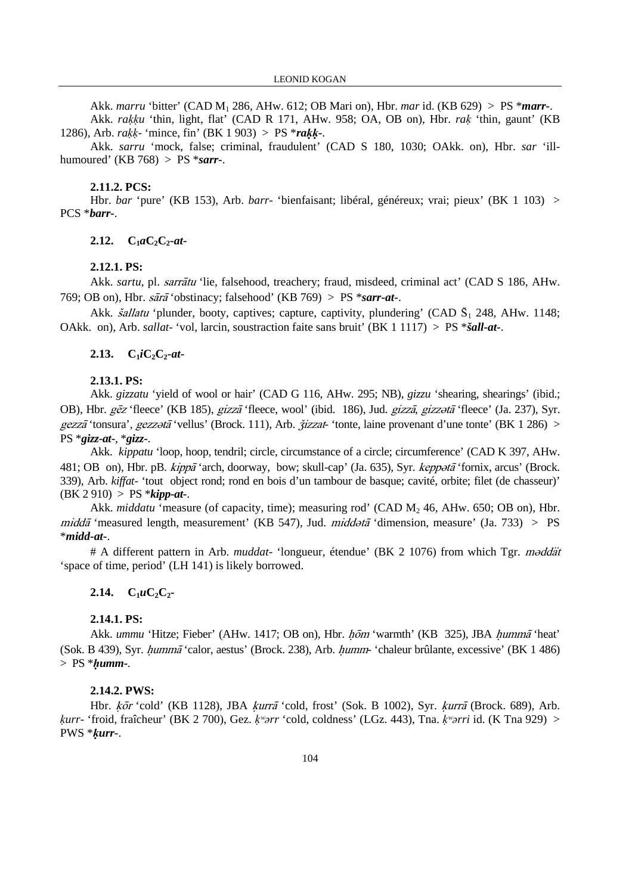Akk. *marru* 'bitter' (CAD M1 286, AHw. 612; OB Mari on), Hbr. *mar* id. (KB 629) > PS \**marr-*.

Akk. *ra*ḳḳ*u* 'thin, light, flat' (CAD R 171, AHw. 958; OA, OB on), Hbr. *ra*ḳ 'thin, gaunt' (KB 1286), Arb. *ra*ḳḳ- 'mince, fin' (BK 1 903) > PS \**ra*ḳḳ**-**.

Akk. *sarru* 'mock, false; criminal, fraudulent' (CAD S 180, 1030; OAkk. on), Hbr. *sar* 'illhumoured' (KB 768) > PS \**sarr***-**.

#### **2.11.2. PCS:**

Hbr. *bar* 'pure' (KB 153), Arb. *barr*- 'bienfaisant; libéral, généreux; vrai; pieux' (BK 1 103) > PCS \**barr***-**.

#### **2.12.**  $C_1aC_2C_2 \cdot at$

#### **2.12.1. PS:**

Akk. *sartu*, pl. *sarrātu* 'lie, falsehood, treachery; fraud, misdeed, criminal act' (CAD S 186, AHw. 769; OB on), Hbr.  $s\bar{a}r\bar{a}$  'obstinacy; falsehood' (KB 769) > PS \* $s\bar{a}rr\bar{a}t$ -.

Akk. *šallatu* 'plunder, booty, captives; capture, captivity, plundering' (CAD  $\bar{S}_1$  248, AHw. 1148; OAkk. on), Arb. *sallat*- 'vol, larcin, soustraction faite sans bruit' (BK 1 1117) > PS \**šall-at-*.

### **2.13.**  $C_1iC_2C_2 \cdot at$

#### **2.13.1. PS:**

Akk. *gizzatu* 'yield of wool or hair' (CAD G 116, AHw. 295; NB), *gizzu* 'shearing, shearings' (ibid.; OB), Hbr. gēz 'fleece' (KB 185), gizzā 'fleece, wool' (ibid. 186), Jud. gizzā, gizzotā 'fleece' (Ja. 237), Syr. gezzã 'tonsura', gezz $\partial \vec{a}$ 'vellus' (Brock. 111), Arb.  $\vec{q}$ izzat-'tonte, laine provenant d'une tonte' (BK 1 286) > PS \**gizz***-***at***-**, \**gizz***-**.

Akk. *kippatu* 'loop, hoop, tendril; circle, circumstance of a circle; circumference' (CAD K 397, AHw. 481; OB on), Hbr. pB. kippā 'arch, doorway, bow; skull-cap' (Ja. 635), Syr. keppətā 'fornix, arcus' (Brock. 339), Arb. *kiffat*- 'tout object rond; rond en bois d'un tambour de basque; cavité, orbite; filet (de chasseur)' (BK 2 910) > PS \**kipp***-***at***-**.

Akk. *middatu* 'measure (of capacity, time); measuring rod' (CAD M<sub>2</sub> 46, AHw. 650; OB on), Hbr. midda 'measured length, measurement' (KB 547), Jud. midd $\partial t$  'dimension, measure' (Ja. 733) > PS \**midd***-***at***-**.

# A different pattern in Arb. *muddat*- 'longueur, étendue' (BK 2 1076) from which Tgr. *m*oddät 'space of time, period' (LH 141) is likely borrowed.

#### **2.14.**  $C_1 u C_2 C_2$

### **2.14.1. PS:**

Akk. *ummu* 'Hitze; Fieber' (AHw. 1417; OB on), Hbr. hom 'warmth' (KB 325), JBA humma 'heat' (Sok. B 439), Syr. humma<sup>-c</sup>alor, aestus' (Brock. 238), Arb. humm- 'chaleur brûlante, excessive' (BK 1 486) > PS \*ḥ*umm-*.

#### **2.14.2. PWS:**

Hbr. kōr 'cold' (KB 1128), JBA kurrā 'cold, frost' (Sok. B 1002), Syr. kurrā (Brock. 689), Arb. ḳ*urr*- 'froid, fraîcheur' (BK 2 700), Gez. ḳʷə*rr* 'cold, coldness' (LGz. 443), Tna. ḳʷə*rri* id. (K Tna 929) > PWS \*ḳ*urr***-**.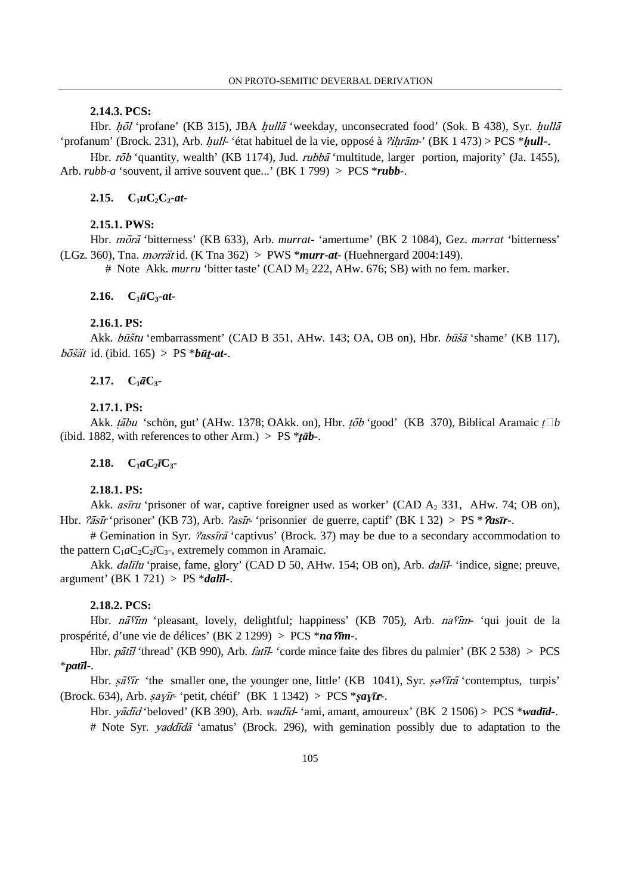## **2.14.3. PCS:**

Hbr. hol 'profane' (KB 315), JBA hulla 'weekday, unconsecrated food' (Sok. B 438), Syr. hulla 'profanum' (Brock. 231), Arb. *hull-* 'état habituel de la vie, opposé à *?ihrām*-' (BK 1 473) > PCS \**hull-*.

Hbr. rob 'quantity, wealth' (KB 1174), Jud. rubba 'multitude, larger portion, majority' (Ja. 1455), Arb. *rubb*-*a* 'souvent, il arrive souvent que...' (BK 1 799) > PCS \**rubb***-**.

### 2.15.  $C_1 u C_2 C_2 \cdot at$

### **2.15.1. PWS:**

Hbr. *mora* 'bitterness' (KB 633), Arb. *murrat*- 'amertume' (BK 2 1084), Gez. *marrat* 'bitterness'  $(LGz, 360)$ , Tna. *morrat* id. (K Tna 362) > PWS \**murr-at*- (Huehnergard 2004:149).

# Note Akk. *murru* 'bitter taste' (CAD M<sub>2</sub> 222, AHw. 676; SB) with no fem. marker.

#### **2.16.**  $C_1 \bar{u} C_3 \text{-} u \text{-}$

## **2.16.1. PS:**

Akk. *būštu* 'embarrassment' (CAD B 351, AHw. 143; OA, OB on), Hbr. *būšā* 'shame' (KB 117),  $b\bar{b}$ ssät id. (ibid. 165) > PS \* $b\bar{u}$ *t-at-*.

## **2.17.**  $C_1 \bar{a} C_3$

#### **2.17.1. PS:**

Akk. tābu 'schön, gut' (AHw. 1378; OAkk. on), Hbr. tōb 'good' (KB 370), Biblical Aramaic t□b (ibid. 1882, with references to other Arm.) > PS  $*$ *tāb*-.

## **2.18.**  $C_1aC_2\overline{C_3}$

## **2.18.1. PS:**

Akk. *astru* 'prisoner of war, captive foreigner used as worker' (CAD  $A_2$  331, AHw. 74; OB on), Hbr.  $\partial \tilde{a}$ sī*r* 'prisoner' (KB 73), Arb.  $\partial a \tilde{s}$ *ir* 'prisonnier de guerre, captif' (BK 1 32) > PS \* $\partial a \tilde{s}$ *ir*-.

# Gemination in Syr. *Passira* 'captivus' (Brock. 37) may be due to a secondary accommodation to the pattern  $C_1aC_2C_2iC_3$ , extremely common in Aramaic.

Akk. *dalīlu* 'praise, fame, glory' (CAD D 50, AHw. 154; OB on), Arb. *dalīl*- 'indice, signe; preuve, argument' (BK 1 721) > PS \**dal*ī*l-*.

#### **2.18.2. PCS:**

Hbr. nã fim 'pleasant, lovely, delightful; happiness' (KB 705), Arb. na fim- 'qui jouit de la prospérité, d'une vie de délices' (BK 2 1299) > PCS \**na* fim-.

Hbr. pātīl 'thread' (KB 990), Arb. fatīl- 'corde mince faite des fibres du palmier' (BK 2 538) > PCS \**pat*ī*l-*.

Hbr.  $s\bar{a}f\bar{i}r$  'the smaller one, the younger one, little' (KB 1041), Syr.  $s\partial\bar{f}r\bar{a}$  'contemptus, turpis' (Brock. 634), Arb.  $say\overline{i}r$  'petit, chétif' (BK 1 1342) > PCS  $***say\overline{i}r**$ .

Hbr. *yadīd* 'beloved' (KB 390), Arb. *wadīd* 'ami, amant, amoureux' (BK 2 1506) > PCS \**wadīd* -.

# Note Syr. *yaddīdā* 'amatus' (Brock. 296), with gemination possibly due to adaptation to the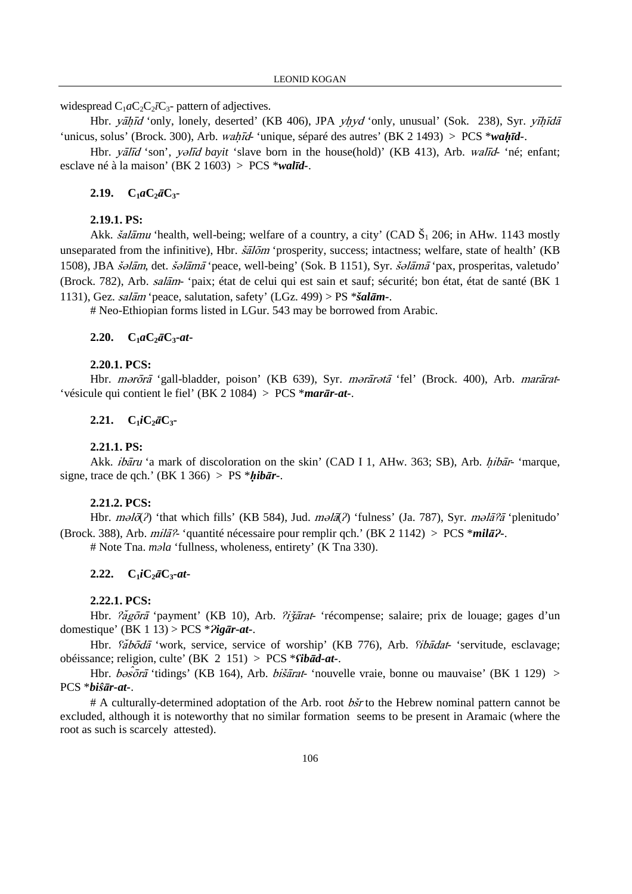widespread  $C_1aC_2C_2iC_3$ - pattern of adjectives.

Hbr. yāhīd 'only, lonely, deserted' (KB 406), JPA yhyd 'only, unusual' (Sok. 238), Syr. yīhīdā 'unicus, solus' (Brock. 300), Arb. *wahīd*- 'unique, séparé des autres' (BK 2 1493) > PCS \**wahīd*-.

Hbr. *yālīd* 'son', *yəlīd bayit* 'slave born in the house(hold)' (KB 413), Arb. *walīd*- 'né; enfant; esclave né à la maison' (BK 2 1603) > PCS \**wal*ī*d-*.

### **2.19. C1***a***C2**ā**C3-**

### **2.19.1. PS:**

Akk. *šalāmu* 'health, well-being; welfare of a country, a city' (CAD  $\check{S}_1$  206; in AHw. 1143 mostly unseparated from the infinitive), Hbr.  $\delta \tilde{a} l \tilde{\sigma} m$  'prosperity, success; intactness; welfare, state of health' (KB 1508), JBA šolām, det. šolāmā 'peace, well-being' (Sok. B 1151), Syr. šolāmā 'pax, prosperitas, valetudo' (Brock. 782), Arb. salām- 'paix; état de celui qui est sain et sauf; sécurité; bon état, état de santé (BK 1) 1131), Gez. salām 'peace, salutation, safety' (LGz. 499) >  $PS$  \* $\delta$ alām-.

# Neo-Ethiopian forms listed in LGur. 543 may be borrowed from Arabic.

#### **2.20.**  $C_1 a C_2 \bar{a} C_3 \text{-} a t$

#### **2.20.1. PCS:**

Hbr. mərōrā 'gall-bladder, poison' (KB 639), Syr. mərārətā 'fel' (Brock. 400), Arb. marārat-'vésicule qui contient le fiel' (BK 2 1084) > PCS \**mar*ā*r-at-*.

## **2.21.**  $C_1iC_2\bar{a}C_3$

### **2.21.1. PS:**

Akk. *ibaru* 'a mark of discoloration on the skin' (CAD I 1, AHw. 363; SB), Arb. *hibar*- 'marque, signe, trace de qch.' (BK 1 366) > PS  $*hib\bar{a}r$ -.

### **2.21.2. PCS:**

Hbr.  $m\partial(\hat{\alpha})$  'that which fills' (KB 584), Jud.  $m\partial(\hat{\alpha})$  'fulness' (Ja. 787), Syr.  $m\partial(\hat{\alpha})$  'plenitudo' (Brock. 388), Arb. *milā*? 'quantité nécessaire pour remplir qch.' (BK 2 1142) > PCS \**milā*?

# Note Tna. *m*ə*la* 'fullness, wholeness, entirety' (K Tna 330).

## **2.22.**  $C_1iC_2\bar{a}C_3$ - $at$ -

### **2.22.1. PCS:**

Hbr.  $\tilde{z}$ agora 'payment' (KB 10), Arb.  $\tilde{z}$ izarat- 'récompense; salaire; prix de louage; gages d'un domestique' (BK 1 13) > PCS \*Ɂ*ig*ā*r-at-*.

Hbr. *faboda* 'work, service, service of worship' (KB 776), Arb. *fibadat*- 'servitude, esclavage; obéissance; religion, culte' (BK 2 151) > PCS \*ʕ*ib*ā*d-at-*.

Hbr.  $b \partial s \bar{\partial} r \bar{a}$  'tidings' (KB 164), Arb. *bišārat*- 'nouvelle vraie, bonne ou mauvaise' (BK 1 129) > PCS \**bi*ŝā*r-at-*.

 $# A$  culturally-determined adoptation of the Arb. root  $b\acute{s}r$  to the Hebrew nominal pattern cannot be excluded, although it is noteworthy that no similar formation seems to be present in Aramaic (where the root as such is scarcely attested).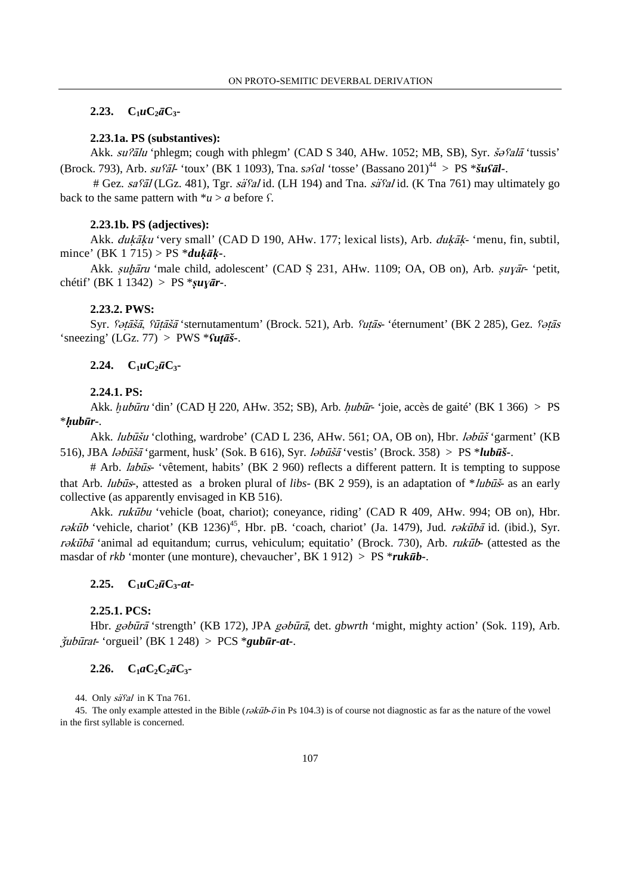## 2.23.  $C_1 u C_2 \bar{a} C_3$

### **2.23.1a. PS (substantives):**

Akk. su?ālu 'phlegm; cough with phlegm' (CAD S 340, AHw. 1052; MB, SB), Syr. šəfalā 'tussis' (Brock. 793), Arb. suȥl*-* 'toux' (BK 1 1093), Tna. *s*əʕ*al* 'tosse' (Bassano 201)<sup>44</sup> > PS \**šu*ʕā*l-*.

 $\#$  Gez. sa $\frac{67}{4}$ (LGz. 481), Tgr. sä $\frac{67}{4}$ id. (LH 194) and Tna. sä $\frac{67}{4}$ id. (K Tna 761) may ultimately go back to the same pattern with  $*u > a$  before *f*.

### **2.23.1b. PS (adjectives):**

Akk. *dukāku* 'very small' (CAD D 190, AHw. 177; lexical lists), Arb. *dukāk*- 'menu, fin, subtil, mince' (BK 1 715) > PS \**du*ḳāḳ*-*.

Akk. *suḫāru* 'male child, adolescent' (CAD S 231, AHw. 1109; OA, OB on), Arb. *suyār*- 'petit, chétif' (BK 1 1342) > PS \*ṣ*u*ɣā*r-*.

#### **2.23.2. PWS:**

Syr. *fətāšā, fūtāšā* 'sternutamentum' (Brock. 521), Arb. *futās*- 'éternument' (BK 2 285), Gez. *fətās* 'sneezing' (LGz. 77) > PWS \*ʕ*u*ṭā*š-*.

### **2.24.**  $C_1 u C_2 \bar{u} C_3$

## **2.24.1. PS:**

Akk.  $hubūru$  'din' (CAD H 220, AHw. 352; SB), Arb.  $hubūr$ - 'joie, accès de gaité' (BK 1 366) > PS \*ḥ*ub*ū*r-*.

Akk. *lubūšu* 'clothing, wardrobe' (CAD L 236, AHw. 561; OA, OB on), Hbr. *labūš* 'garment' (KB 516), JBA *lәbūšā* 'garment, husk' (Sok. B 616), Syr. *lәbūšā* 'vestis' (Brock. 358) > PS \**lubūš*-.

# Arb. *labus*- 'vêtement, habits' (BK 2 960) reflects a different pattern. It is tempting to suppose that Arb. *lubus*-, attested as a broken plural of *libs*- (BK 2 959), is an adaptation of \**lubus*- as an early collective (as apparently envisaged in KB 516).

Akk. *rukūbu* 'vehicle (boat, chariot); coneyance, riding' (CAD R 409, AHw. 994; OB on), Hbr. rəkūb 'vehicle, chariot' (KB 1236)<sup>45</sup>, Hbr. pB. 'coach, chariot' (Ja. 1479), Jud. rəkūbā id. (ibid.), Syr. rəkūbā 'animal ad equitandum; currus, vehiculum; equitatio' (Brock. 730), Arb. rukūb- (attested as the masdar of *rkb* 'monter (une monture), chevaucher', BK 1 912) > PS \**ruk*ū*b-*.

#### $2.25. \quad C_1 u C_2 \bar{u} C_3$ **-***at*

#### **2.25.1. PCS:**

Hbr. gəbūrā 'strength' (KB 172), JPA gəbūrā, det. *gbwrth* 'might, mighty action' (Sok. 119), Arb.  $\ddot{\mathbf{y}}$ ubūrat- 'orgueil' (BK 1 248) > PCS \***gubūr-at-**.

## **2.26.**  $C_1 a C_2 C_2 \bar{a} C_3$

44. Only  $s\ddot{a}$ sal in K Tna 761.

45. The only example attested in the Bible ( $r\partial x\bar{u}b-\bar{c}$  in Ps 104.3) is of course not diagnostic as far as the nature of the vowel in the first syllable is concerned.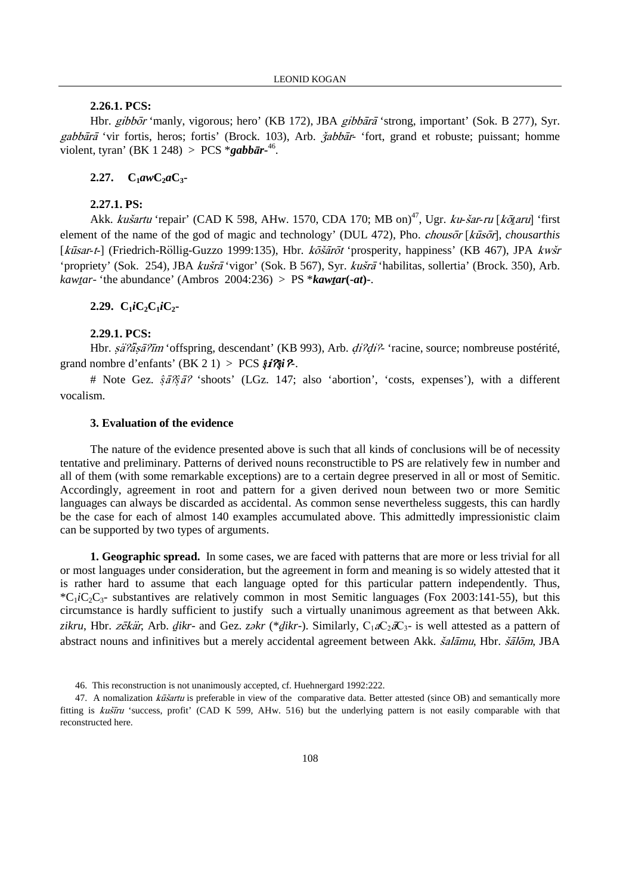## **2.26.1. PCS:**

Hbr. gibbor 'manly, vigorous; hero' (KB 172), JBA gibbara 'strong, important' (Sok. B 277), Syr. gabbārā 'vir fortis, heros; fortis' (Brock. 103), Arb.  $\check{z}abb\bar{a}r$  'fort, grand et robuste; puissant; homme violent, tyran' (BK 1 248) > PCS \**gabb*ā*r-*<sup>46</sup> .

## **2.27.**  $C_1 a w C_2 a C_3$

## **2.27.1. PS:**

Akk. kušartu 'repair' (CAD K 598, AHw. 1570, CDA 170; MB on)<sup>47</sup>, Ugr. ku-šar-ru [kōtaru] 'first element of the name of the god of magic and technology' (DUL 472), Pho. *chousor* [kūsor], *chousarthis* [kūsar-t-] (Friedrich-Röllig-Guzzo 1999:135), Hbr. košārot 'prosperity, happiness' (KB 467), JPA kwšr 'propriety' (Sok. 254), JBA kušrā 'vigor' (Sok. B 567), Syr. kušrā 'habilitas, sollertia' (Brock. 350), Arb. *kawtar*- 'the abundance' (Ambros 2004:236) > PS \**kawtar*(-*at*)-.

### **2.29.**  $C_1iC_2C_1iC_2$

## **2.29.1. PCS:**

Hbr. sä?äsä?īm 'offspring, descendant' (KB 993), Arb. di?di?- 'racine, source; nombreuse postérité, grand nombre d'enfants' (BK 2 1) > PCS  $\hat{\mathbf{s}}$ *i* $\hat{\mathbf{z}}$ *i* $\hat{\mathbf{z}}$ *i* $\hat{\mathbf{z}}$ *i* $\hat{\mathbf{z}}$ *i* $\hat{\mathbf{z}}$ *i* $\hat{\mathbf{z}}$ *i* $\hat{\mathbf{z}}$ *i* $\hat{\mathbf{z}}$ *i* $\hat{\mathbf{z}}$ *i* $\hat{\mathbf{z}}$ *i* $\hat{\mathbf{z}}$ *i* $\hat{\mathbf{z}}$ *i* $\hat{\mathbf{z}}$ *i*

# Note Gez.  $\hat{s} \frac{\partial \hat{s}}{\partial \hat{s}} \frac{\partial \hat{s}}{\partial \hat{s}}$  'shoots' (LGz. 147; also 'abortion', 'costs, expenses'), with a different vocalism.

#### **3. Evaluation of the evidence**

The nature of the evidence presented above is such that all kinds of conclusions will be of necessity tentative and preliminary. Patterns of derived nouns reconstructible to PS are relatively few in number and all of them (with some remarkable exceptions) are to a certain degree preserved in all or most of Semitic. Accordingly, agreement in root and pattern for a given derived noun between two or more Semitic languages can always be discarded as accidental. As common sense nevertheless suggests, this can hardly be the case for each of almost 140 examples accumulated above. This admittedly impressionistic claim can be supported by two types of arguments.

**1. Geographic spread.** In some cases, we are faced with patterns that are more or less trivial for all or most languages under consideration, but the agreement in form and meaning is so widely attested that it is rather hard to assume that each language opted for this particular pattern independently. Thus,  ${}^*C_1iC_2C_3$ - substantives are relatively common in most Semitic languages (Fox 2003:141-55), but this circumstance is hardly sufficient to justify such a virtually unanimous agreement as that between Akk. zikru, Hbr. zēkär, Arb. dikr- and Gez. zəkr (\*dikr-). Similarly, C<sub>1</sub>aC<sub>2</sub>aC<sub>3</sub>- is well attested as a pattern of abstract nouns and infinitives but a merely accidental agreement between Akk. *šalāmu*, Hbr. *šālōm*, JBA

<sup>46.</sup> This reconstruction is not unanimously accepted, cf. Huehnergard 1992:222.

<sup>47.</sup> A nomalization *kūšartu* is preferable in view of the comparative data. Better attested (since OB) and semantically more fitting is kustru 'success, profit' (CAD K 599, AHw. 516) but the underlying pattern is not easily comparable with that reconstructed here.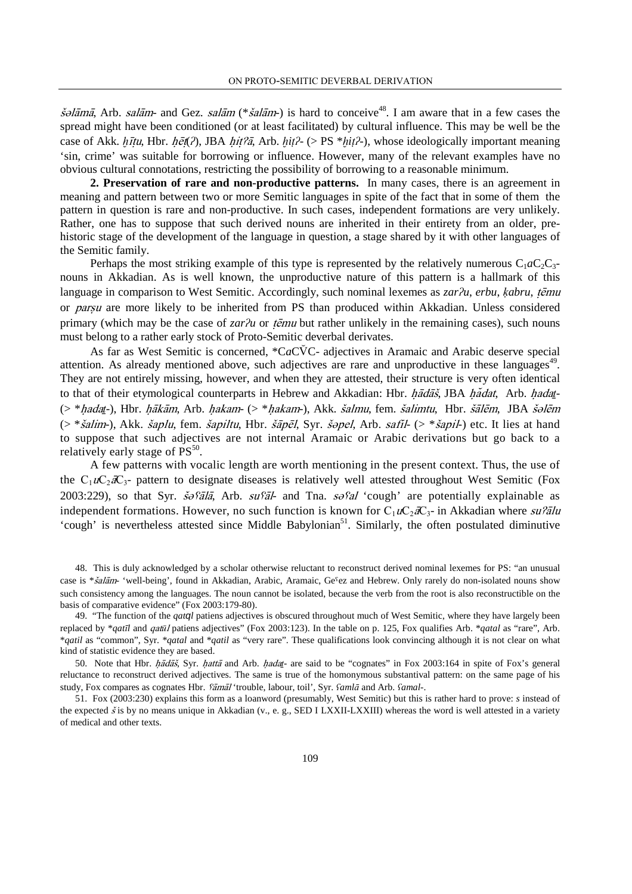$\dot{s}$ elāmā. Arb. salām- and Gez. salām (\* $\dot{s}$ alām-) is hard to conceive<sup>48</sup>. I am aware that in a few cases the spread might have been conditioned (or at least facilitated) by cultural influence. This may be well be the case of Akk. *httu*, Hbr. *het*(*ʔ*), JBA *hit?ā*, Arb. *hit?*- (> PS \**hit?*-), whose ideologically important meaning 'sin, crime' was suitable for borrowing or influence. However, many of the relevant examples have no obvious cultural connotations, restricting the possibility of borrowing to a reasonable minimum.

**2. Preservation of rare and non-productive patterns.** In many cases, there is an agreement in meaning and pattern between two or more Semitic languages in spite of the fact that in some of them the pattern in question is rare and non-productive. In such cases, independent formations are very unlikely. Rather, one has to suppose that such derived nouns are inherited in their entirety from an older, prehistoric stage of the development of the language in question, a stage shared by it with other languages of the Semitic family.

Perhaps the most striking example of this type is represented by the relatively numerous  $C_1aC_2C_3$ nouns in Akkadian. As is well known, the unproductive nature of this pattern is a hallmark of this language in comparison to West Semitic. Accordingly, such nominal lexemes as *zar* $2u$ , *erbu*, *ķabru*, *tēmu* or parsu are more likely to be inherited from PS than produced within Akkadian. Unless considered primary (which may be the case of *zar* $\lambda u$  or  $\tau \in \mathbb{R}$  but rather unlikely in the remaining cases), such nouns must belong to a rather early stock of Proto-Semitic deverbal derivates.

As far as West Semitic is concerned, \*CaCVC- adjectives in Aramaic and Arabic deserve special attention. As already mentioned above, such adjectives are rare and unproductive in these languages<sup>49</sup>. They are not entirely missing, however, and when they are attested, their structure is very often identical to that of their etymological counterparts in Hebrew and Akkadian: Hbr. hadat, JBA hadat, Arb. hadat- $($  \* hadat-), Hbr. hākām, Arb. hakam-  $($  \* hakam-), Akk. šalmu, fem. šalimtu, Hbr. šālēm, JBA šolēm  $(>\ast \check{s}alim-)$ , Akk.  $\check{s}aplu$ , fem.  $\check{s}apiltu$ , Hbr.  $\check{s}\check{a}p\check{e}l$ , Syr.  $\check{s}opel$ , Arb.  $\check{s}afil-$  ( $>\ast \check{s}apil$ ) etc. It lies at hand to suppose that such adjectives are not internal Aramaic or Arabic derivations but go back to a relatively early stage of  $PS^{50}$ .

A few patterns with vocalic length are worth mentioning in the present context. Thus, the use of the  $C_1 u C_2 dC_3$ - pattern to designate diseases is relatively well attested throughout West Semitic (Fox 2003:229), so that Syr.  $\frac{\dot{s}}{\dot{\theta}}$ s *salia*, Arb. su<sup>c</sup> and Tha. salid 'cough' are potentially explainable as independent formations. However, no such function is known for  $C_1uC_2\partial C_3$ - in Akkadian where su?alu 'cough' is nevertheless attested since Middle Babylonian<sup>51</sup>. Similarly, the often postulated diminutive

48. This is duly acknowledged by a scholar otherwise reluctant to reconstruct derived nominal lexemes for PS: "an unusual case is \* $\delta \frac{a}{\delta t}$  'well-being', found in Akkadian, Arabic, Aramaic, Ge<sup>5</sup>ez and Hebrew. Only rarely do non-isolated nouns show such consistency among the languages. The noun cannot be isolated, because the verb from the root is also reconstructible on the basis of comparative evidence" (Fox 2003:179-80).

49. "The function of the *qat*q*l* patiens adjectives is obscured throughout much of West Semitic, where they have largely been replaced by \**qat* $\bar{u}$ *l* and *qat* $\bar{u}$ *l* patiens adjectives" (Fox 2003:123). In the table on p. 125, Fox qualifies Arb. \**qatal* as "rare", Arb. \**qatil* as "common", Syr. \**qatal* and \**qatil* as "very rare". These qualifications look convincing although it is not clear on what kind of statistic evidence they are based.

50. Note that Hbr. hadas, Syr. hatta and Arb. hadat- are said to be "cognates" in Fox 2003:164 in spite of Fox's general reluctance to reconstruct derived adjectives. The same is true of the homonymous substantival pattern: on the same page of his study, Fox compares as cognates Hbr.  $\delta \vec{a}$ <sup>'</sup>trouble, labour, toil', Syr.  $\delta$ *amla* and Arb.  $\delta$ *amal*-.

51. Fox (2003:230) explains this form as a loanword (presumably, West Semitic) but this is rather hard to prove: *s* instead of the expected  $\check{s}$  is by no means unique in Akkadian (v., e. g., SED I LXXII-LXXIII) whereas the word is well attested in a variety of medical and other texts.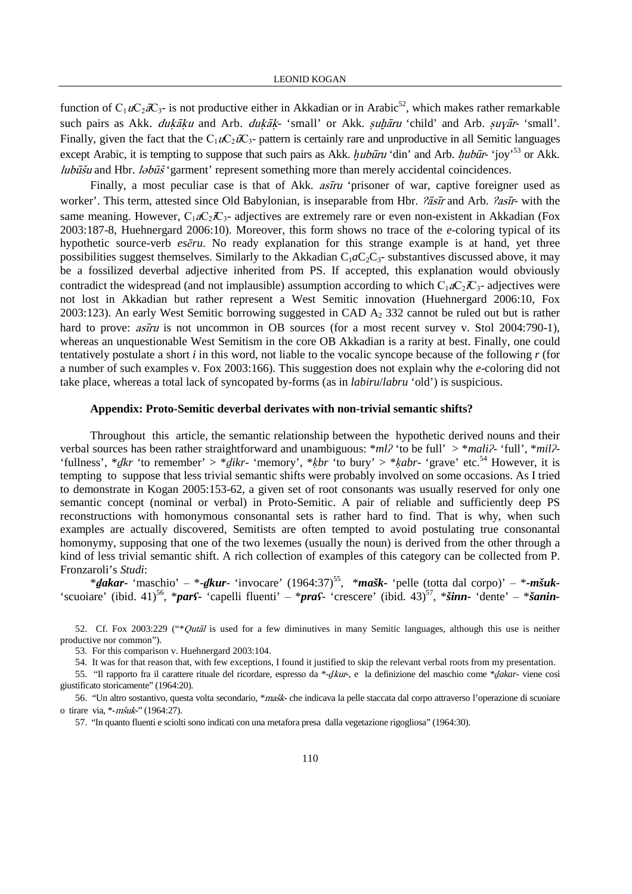function of  $C_1uC_2\bar{a}C_3$ - is not productive either in Akkadian or in Arabic<sup>52</sup>, which makes rather remarkable such pairs as Akk. *dukāku* and Arb. *dukāk*- 'small' or Akk. *suhāru* 'child' and Arb. *suyār*- 'small'. Finally, given the fact that the  $C_1uC_2\overline{u}C_3$ - pattern is certainly rare and unproductive in all Semitic languages except Arabic, it is tempting to suppose that such pairs as Akk.  $hubūru$  'din' and Arb.  $hubūr-$  'joy'<sup>53</sup> or Akk. *lubūšu* and Hbr. *l* $\partial b\overline{u}$  'garment' represent something more than merely accidental coincidences.

Finally, a most peculiar case is that of Akk. *asiru* 'prisoner of war, captive foreigner used as worker'. This term, attested since Old Babylonian, is inseparable from Hbr. *?āsīr* and Arb. *?asīr*- with the same meaning. However,  $C_1aC_2C_3$ - adjectives are extremely rare or even non-existent in Akkadian (Fox 2003:187-8, Huehnergard 2006:10). Moreover, this form shows no trace of the *e*-coloring typical of its hypothetic source-verb *es*ē*ru*. No ready explanation for this strange example is at hand, yet three possibilities suggest themselves. Similarly to the Akkadian  $C_1aC_2C_3$ - substantives discussed above, it may be a fossilized deverbal adjective inherited from PS. If accepted, this explanation would obviously contradict the widespread (and not implausible) assumption according to which  $C_1aC_2C_3$ - adjectives were not lost in Akkadian but rather represent a West Semitic innovation (Huehnergard 2006:10, Fox 2003:123). An early West Semitic borrowing suggested in CAD  $A_2$  332 cannot be ruled out but is rather hard to prove:  $a\sin u$  is not uncommon in OB sources (for a most recent survey v. Stol 2004:790-1), whereas an unquestionable West Semitism in the core OB Akkadian is a rarity at best. Finally, one could tentatively postulate a short *i* in this word, not liable to the vocalic syncope because of the following *r* (for a number of such examples v. Fox 2003:166). This suggestion does not explain why the *e*-coloring did not take place, whereas a total lack of syncopated by-forms (as in *labiru*/*labru* 'old') is suspicious.

#### **Appendix: Proto-Semitic deverbal derivates with non-trivial semantic shifts?**

Throughout this article, the semantic relationship between the hypothetic derived nouns and their verbal sources has been rather straightforward and unambiguous: \**ml*ʔ 'to be full' > \**mali*ʔ- 'full', \**mil*ʔ- 'fullness', \*ḏ*kr* 'to remember' > \*ḏ*ikr*- 'memory', \*ḳ*br* 'to bury' > \*ḳ*abr*- 'grave' etc.<sup>54</sup> However, it is tempting to suppose that less trivial semantic shifts were probably involved on some occasions. As I tried to demonstrate in Kogan 2005:153-62, a given set of root consonants was usually reserved for only one semantic concept (nominal or verbal) in Proto-Semitic. A pair of reliable and sufficiently deep PS reconstructions with homonymous consonantal sets is rather hard to find. That is why, when such examples are actually discovered, Semitists are often tempted to avoid postulating true consonantal homonymy, supposing that one of the two lexemes (usually the noun) is derived from the other through a kind of less trivial semantic shift. A rich collection of examples of this category can be collected from P. Fronzaroli's *Studi*:

\*ḏ*akar***-** 'maschio' ‒ \*-ḏ*kur*- 'invocare' (1964:37)<sup>55</sup>, \**mašk-* 'pelle (totta dal corpo)' ‒ \**-mšuk-* 'scuoiare' (ibid. 41)<sup>56</sup>, \**pars***-** 'capelli fluenti' – \**praf*- 'crescere' (ibid. 43)<sup>57</sup>, \**šinn*- 'dente' – \**šanin*-

52. Cf. Fox 2003:229 ("\**Qutal* is used for a few diminutives in many Semitic languages, although this use is neither productive nor common").

53. For this comparison v. Huehnergard 2003:104.

54. It was for that reason that, with few exceptions, I found it justified to skip the relevant verbal roots from my presentation.

55. "Il rapporto fra il carattere rituale del ricordare, espresso da \*-ḏkur-, e la definizione del maschio come \*ḏ*akar*- viene così giustificato storicamente" (1964:20).

56. "Un altro sostantivo, questa volta secondario, \*mašk- che indicava la pelle staccata dal corpo attraverso l'operazione di scuoiare o tirare via, \*-mšuk-" (1964:27).

57. "In quanto fluenti e sciolti sono indicati con una metafora presa dalla vegetazione rigogliosa" (1964:30).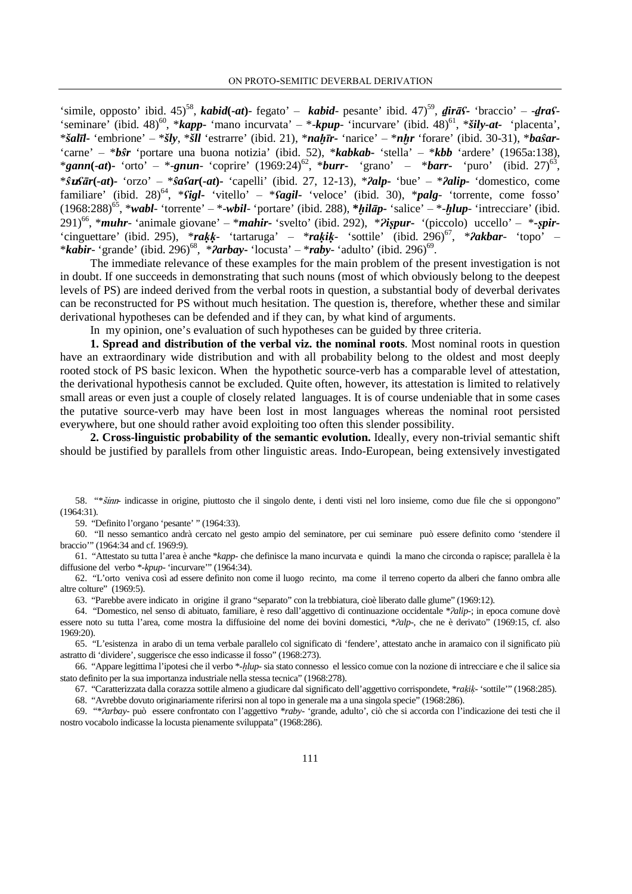'simile, opposto' ibid. 45)<sup>58</sup>, *kabid*(-at)- fegato' – *kabid*- pesante' ibid. 47)<sup>59</sup>, **dirās**- 'braccio' – -**dras**-'seminare' (ibid. 48)<sup>60</sup>, \**kapp*- 'mano incurvata'  $-$  \*-*kpup*- 'incurvare' (ibid. 48)<sup>61</sup>, \**šily-at-* 'placenta', \**šal*ī*l-* 'embrione' ‒ \**šly*, \**šll* 'estrarre' (ibid. 21), \**na*ḫī*r-* 'narice' ‒ \**n*≠*r* 'forare' (ibid. 30-31), \**ba*ŝ*ar-* 'carne' ‒ \**b*ŝ*r* 'portare una buona notizia' (ibid. 52), \**kabkab***-** 'stella' ‒ \**kbb* 'ardere' (1965a:138), \**gann***(-***at***)-** 'orto' – \*-*gnun*- 'coprire' (1969:24)<sup>62</sup>, \**burr*- 'grano' – \**barr*- 'puro' (ibid. 27)<sup>63</sup>, \*ŝuʕā*r***(***-at***)***-* 'orzo' ‒ \*ŝ*a*ʕ*ar***(***-at***)***-* 'capelli' (ibid. 27, 12-13), \*ʔ*alp***-** 'bue' ‒ \*ʔ*alip***-** 'domestico, come familiare' (ibid. 28)<sup>64</sup>, \*ʕ*igl***-** 'vitello' ‒ \*ʕ*agil***-** 'veloce' (ibid. 30), \**palg*- 'torrente, come fosso' (1968:288)<sup>65</sup>, \**wabl*- 'torrente' ‒ \*-*wbil*- 'portare' (ibid. 288), **\***ḫ*il*ā*p-* 'salice' ‒ \*-≠*lup*- 'intrecciare' (ibid.  $291\frac{66}{3}$ , \**muhr*- 'animale giovane' – \**mahir*- 'svelto' (ibid. 292), \**Pispur-* '(piccolo) uccello' – \*-spir-'cinguettare' (ibid. 295), \**ra*ḳḳ- 'tartaruga' ‒ \**ra*ḳ*i*ḳ*-* 'sottile' (ibid. 296)<sup>67</sup>, \*ʔ*akbar*- 'topo' ‒ \**kabir-* 'grande' (ibid. 296)<sup>68</sup>, \**Parbay*- 'locusta' – \**raby*- 'adulto' (ibid. 296)<sup>69</sup>.

The immediate relevance of these examples for the main problem of the present investigation is not in doubt. If one succeeds in demonstrating that such nouns (most of which obviously belong to the deepest levels of PS) are indeed derived from the verbal roots in question, a substantial body of deverbal derivates can be reconstructed for PS without much hesitation. The question is, therefore, whether these and similar derivational hypotheses can be defended and if they can, by what kind of arguments.

In my opinion, one's evaluation of such hypotheses can be guided by three criteria.

**1. Spread and distribution of the verbal viz. the nominal roots**. Most nominal roots in question have an extraordinary wide distribution and with all probability belong to the oldest and most deeply rooted stock of PS basic lexicon. When the hypothetic source-verb has a comparable level of attestation, the derivational hypothesis cannot be excluded. Quite often, however, its attestation is limited to relatively small areas or even just a couple of closely related languages. It is of course undeniable that in some cases the putative source-verb may have been lost in most languages whereas the nominal root persisted everywhere, but one should rather avoid exploiting too often this slender possibility.

**2. Cross-linguistic probability of the semantic evolution.** Ideally, every non-trivial semantic shift should be justified by parallels from other linguistic areas. Indo-European, being extensively investigated

59. "Definito l'organo 'pesante' " (1964:33).

60. "Il nesso semantico andrà cercato nel gesto ampio del seminatore, per cui seminare può essere definito como 'stendere il braccio'" (1964:34 and cf. 1969:9).

61. "Attestato su tutta l'area è anche \**kapp*- che definisce la mano incurvata e quindi la mano che circonda o rapisce; parallela è la diffusione del verbo \*-*kpup*- 'incurvare'" (1964:34).

62. "L'orto veniva così ad essere definito non come il luogo recinto, ma come il terreno coperto da alberi che fanno ombra alle altre colture" (1969:5).

63. "Parebbe avere indicato in origine il grano "separato" con la trebbiatura, cioè liberato dalle glume" (1969:12).

64. "Domestico, nel senso di abituato, familiare, è reso dall'aggettivo di continuazione occidentale \*ʔ*alip*-; in epoca comune dovè essere noto su tutta l'area, come mostra la diffusioine del nome dei bovini domestici, \*ʔ*alp*-, che ne è derivato" (1969:15, cf. also 1969:20).

65. "L'esistenza in arabo di un tema verbale parallelo col significato di 'fendere', attestato anche in aramaico con il significato più astratto di 'dividere', suggerisce che esso indicasse il fosso" (1968:273).

66. "Appare legittima l'ipotesi che il verbo \*-*hlup*- sia stato connesso el lessico comue con la nozione di intrecciare e che il salice sia stato definito per la sua importanza industriale nella stessa tecnica" (1968:278).

67. "Caratterizzata dalla corazza sottile almeno a giudicare dal significato dell'aggettivo corrispondete, \**ra*ḳ*i*ḳ- 'sottile'" (1968:285).

68. "Avrebbe dovuto originariamente riferirsi non al topo in generale ma a una singola specie" (1968:286).

69. "\*ʔ*arbay*- può essere confrontato con l'aggettivo \**raby*- 'grande, adulto', ciò che si accorda con l'indicazione dei testi che il nostro vocabolo indicasse la locusta pienamente sviluppata" (1968:286).

<sup>58. &</sup>quot;\**šinn*- indicasse in origine, piuttosto che il singolo dente, i denti visti nel loro insieme, como due file che si oppongono" (1964:31).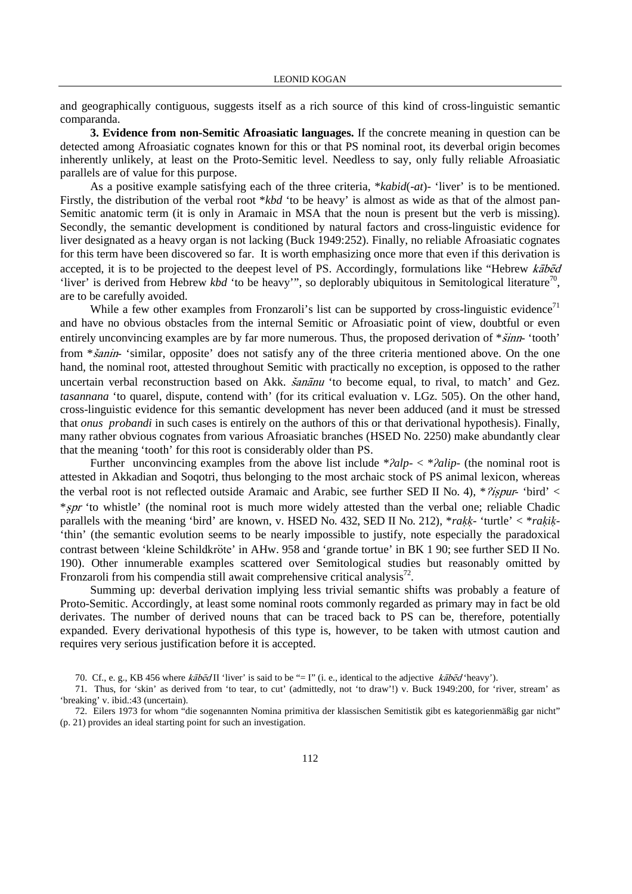and geographically contiguous, suggests itself as a rich source of this kind of cross-linguistic semantic comparanda.

**3. Evidence from non-Semitic Afroasiatic languages.** If the concrete meaning in question can be detected among Afroasiatic cognates known for this or that PS nominal root, its deverbal origin becomes inherently unlikely, at least on the Proto-Semitic level. Needless to say, only fully reliable Afroasiatic parallels are of value for this purpose.

As a positive example satisfying each of the three criteria, \**kabid*(-*at*)- 'liver' is to be mentioned. Firstly, the distribution of the verbal root \**kbd* 'to be heavy' is almost as wide as that of the almost pan-Semitic anatomic term (it is only in Aramaic in MSA that the noun is present but the verb is missing). Secondly, the semantic development is conditioned by natural factors and cross-linguistic evidence for liver designated as a heavy organ is not lacking (Buck 1949:252). Finally, no reliable Afroasiatic cognates for this term have been discovered so far. It is worth emphasizing once more that even if this derivation is accepted, it is to be projected to the deepest level of PS. Accordingly, formulations like "Hebrew  $k\bar{a}b\bar{c}d$ 'liver' is derived from Hebrew *kbd* 'to be heavy'", so deplorably ubiquitous in Semitological literature<sup>70</sup>, are to be carefully avoided.

While a few other examples from Fronzaroli's list can be supported by cross-linguistic evidence<sup>71</sup> and have no obvious obstacles from the internal Semitic or Afroasiatic point of view, doubtful or even entirely unconvincing examples are by far more numerous. Thus, the proposed derivation of  $*\check{sinn}$  'tooth' from \*sanin- 'similar, opposite' does not satisfy any of the three criteria mentioned above. On the one hand, the nominal root, attested throughout Semitic with practically no exception, is opposed to the rather uncertain verbal reconstruction based on Akk. *šanānu* 'to become equal, to rival, to match' and Gez. *tasannana* 'to quarel, dispute, contend with' (for its critical evaluation v. LGz. 505). On the other hand, cross-linguistic evidence for this semantic development has never been adduced (and it must be stressed that *onus probandi* in such cases is entirely on the authors of this or that derivational hypothesis). Finally, many rather obvious cognates from various Afroasiatic branches (HSED No. 2250) make abundantly clear that the meaning 'tooth' for this root is considerably older than PS.

Further unconvincing examples from the above list include  $*2alp- < *2alip$  (the nominal root is attested in Akkadian and Soqotri, thus belonging to the most archaic stock of PS animal lexicon, whereas the verbal root is not reflected outside Aramaic and Arabic, see further SED II No. 4), \* $\gamma$ ispur- 'bird' < \*spr 'to whistle' (the nominal root is much more widely attested than the verbal one; reliable Chadic parallels with the meaning 'bird' are known, v. HSED No. 432, SED II No. 212),  $*rakk$ - 'turtle'  $\langle *rakik$ -'thin' (the semantic evolution seems to be nearly impossible to justify, note especially the paradoxical contrast between 'kleine Schildkröte' in AHw. 958 and 'grande tortue' in BK 1 90; see further SED II No. 190). Other innumerable examples scattered over Semitological studies but reasonably omitted by Fronzaroli from his compendia still await comprehensive critical analysis<sup>72</sup>.

Summing up: deverbal derivation implying less trivial semantic shifts was probably a feature of Proto-Semitic. Accordingly, at least some nominal roots commonly regarded as primary may in fact be old derivates. The number of derived nouns that can be traced back to PS can be, therefore, potentially expanded. Every derivational hypothesis of this type is, however, to be taken with utmost caution and requires very serious justification before it is accepted.

70. Cf., e. g., KB 456 where  $k\bar{a}b\bar{c}d\Pi$  'liver' is said to be "= I" (i. e., identical to the adjective  $k\bar{a}b\bar{c}d$  'heavy').

71. Thus, for 'skin' as derived from 'to tear, to cut' (admittedly, not 'to draw'!) v. Buck 1949:200, for 'river, stream' as 'breaking' v. ibid.:43 (uncertain).

72. Eilers 1973 for whom "die sogenannten Nomina primitiva der klassischen Semitistik gibt es kategorienmäßig gar nicht" (p. 21) provides an ideal starting point for such an investigation.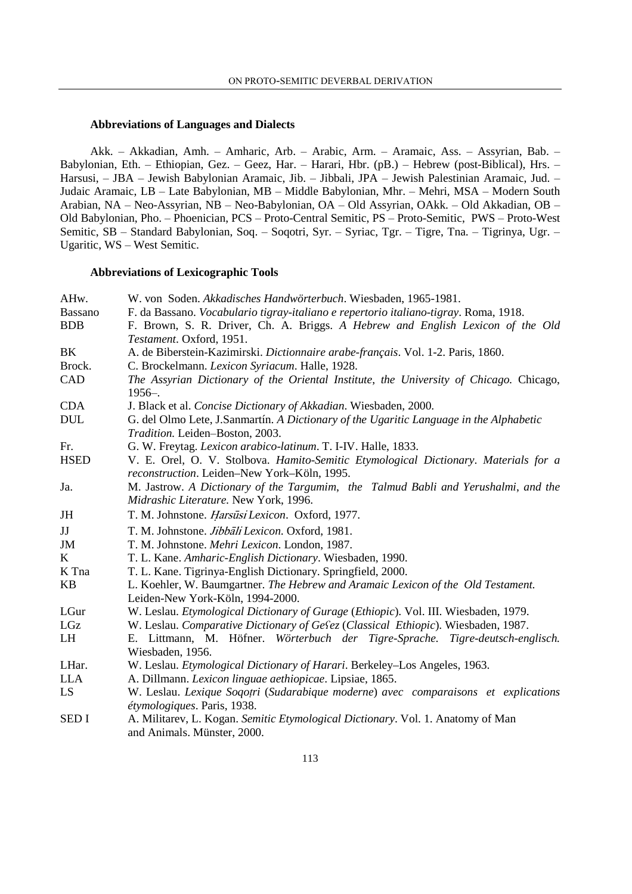#### **Abbreviations of Languages and Dialects**

Akk. – Akkadian, Amh. – Amharic, Arb. – Arabic, Arm. – Aramaic, Ass. – Assyrian, Bab. – Babylonian, Eth. – Ethiopian, Gez. – Geez, Har. – Harari, Hbr. (pB.) – Hebrew (post-Biblical), Hrs. – Harsusi, - JBA - Jewish Babylonian Aramaic, Jib. - Jibbali, JPA - Jewish Palestinian Aramaic, Jud. -Judaic Aramaic, LB - Late Babylonian, MB - Middle Babylonian, Mhr. - Mehri, MSA - Modern South Arabian, NA – Neo-Assyrian, NB – Neo-Babylonian, OA – Old Assyrian, OAkk. – Old Akkadian, OB – Old Babylonian, Pho. – Phoenician, PCS – Proto-Central Semitic, PS – Proto-Semitic, PWS – Proto-West Semitic, SB – Standard Babylonian, Soq. – Soqotri, Syr. – Syriac, Tgr. – Tigre, Tna. – Tigrinya, Ugr. – Ugaritic, WS – West Semitic.

## **Abbreviations of Lexicographic Tools**

| AHw.        | W. von Soden. Akkadisches Handwörterbuch. Wiesbaden, 1965-1981.                                      |
|-------------|------------------------------------------------------------------------------------------------------|
| Bassano     | F. da Bassano. Vocabulario tigray-italiano e repertorio italiano-tigray. Roma, 1918.                 |
| <b>BDB</b>  | F. Brown, S. R. Driver, Ch. A. Briggs. A Hebrew and English Lexicon of the Old                       |
|             | Testament. Oxford, 1951.                                                                             |
| BK          | A. de Biberstein-Kazimirski. Dictionnaire arabe-français. Vol. 1-2. Paris, 1860.                     |
| Brock.      | C. Brockelmann. Lexicon Syriacum. Halle, 1928.                                                       |
| CAD         | The Assyrian Dictionary of the Oriental Institute, the University of Chicago. Chicago,<br>$1956 -$ . |
| <b>CDA</b>  | J. Black et al. Concise Dictionary of Akkadian. Wiesbaden, 2000.                                     |
| <b>DUL</b>  | G. del Olmo Lete, J.Sanmartín. A Dictionary of the Ugaritic Language in the Alphabetic               |
|             | Tradition. Leiden-Boston, 2003.                                                                      |
| Fr.         | G. W. Freytag. Lexicon arabico-latinum. T. I-IV. Halle, 1833.                                        |
| <b>HSED</b> | V. E. Orel, O. V. Stolbova. Hamito-Semitic Etymological Dictionary. Materials for a                  |
|             | reconstruction. Leiden-New York-Köln, 1995.                                                          |
| Ja.         | M. Jastrow. A Dictionary of the Targumim, the Talmud Babli and Yerushalmi, and the                   |
|             | Midrashic Literature. New York, 1996.                                                                |
| JH          | T. M. Johnstone. Harsūsi Lexicon. Oxford, 1977.                                                      |
| JJ          | T. M. Johnstone. Jibbāli Lexicon. Oxford, 1981.                                                      |
| JM          | T. M. Johnstone. Mehri Lexicon. London, 1987.                                                        |
| K           | T. L. Kane. Amharic-English Dictionary. Wiesbaden, 1990.                                             |
| K Tna       | T. L. Kane. Tigrinya-English Dictionary. Springfield, 2000.                                          |
| <b>KB</b>   | L. Koehler, W. Baumgartner. The Hebrew and Aramaic Lexicon of the Old Testament.                     |
|             | Leiden-New York-Köln, 1994-2000.                                                                     |
| LGur        | W. Leslau. <i>Etymological Dictionary of Gurage (Ethiopic)</i> . Vol. III. Wiesbaden, 1979.          |
| LGz         | W. Leslau. Comparative Dictionary of Gefez (Classical Ethiopic). Wiesbaden, 1987.                    |
| LH          | E. Littmann, M. Höfner. Wörterbuch der Tigre-Sprache. Tigre-deutsch-englisch.                        |
|             | Wiesbaden, 1956.                                                                                     |
| LHar.       | W. Leslau. Etymological Dictionary of Harari. Berkeley-Los Angeles, 1963.                            |
| <b>LLA</b>  | A. Dillmann. Lexicon linguae aethiopicae. Lipsiae, 1865.                                             |
| LS.         | W. Leslau. Lexique Soqotri (Sudarabique moderne) avec comparaisons et explications                   |
|             | étymologiques. Paris, 1938.                                                                          |
| <b>SEDI</b> | A. Militarev, L. Kogan. Semitic Etymological Dictionary. Vol. 1. Anatomy of Man                      |
|             | and Animals. Münster, 2000.                                                                          |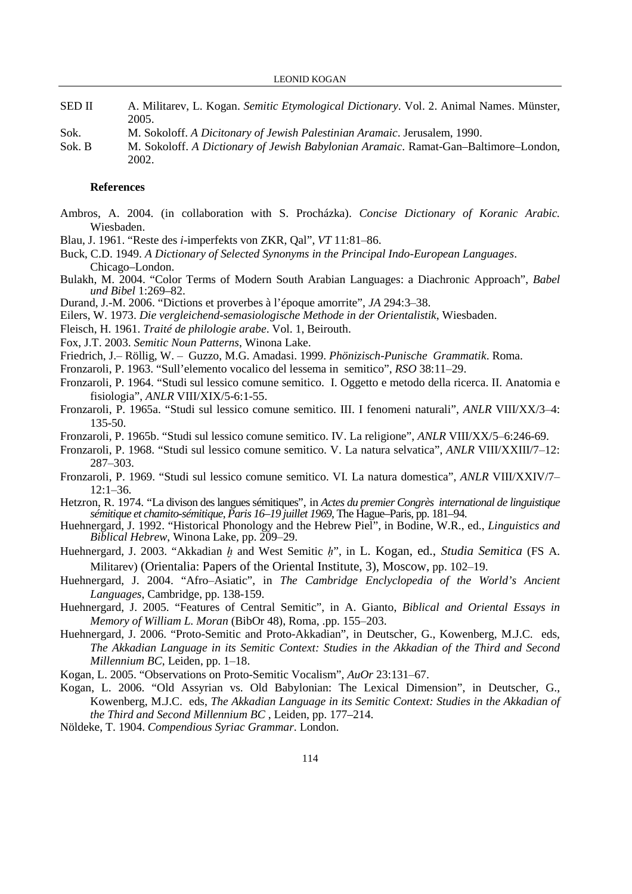| <b>SED II</b> | A. Militarev, L. Kogan. Semitic Etymological Dictionary. Vol. 2. Animal Names. Münster, |
|---------------|-----------------------------------------------------------------------------------------|
|               | 2005.                                                                                   |

- Sok. M. Sokoloff. *A Dicitonary of Jewish Palestinian Aramaic*. Jerusalem, 1990.
- Sok. B M. Sokoloff. *A Dictionary of Jewish Babylonian Aramaic*. Ramat-Gan–Baltimore–London, 2002.

#### **References**

- Ambros, A. 2004. (in collaboration with S. Procházka). *Concise Dictionary of Koranic Arabic.*  Wiesbaden.
- Blau, J. 1961. "Reste des *i*-imperfekts von ZKR, Qal", *VT* 11:81‒86.
- Buck, C.D. 1949. *A Dictionary of Selected Synonyms in the Principal Indo-European Languages*. Chicago–London.
- Bulakh, M. 2004. "Color Terms of Modern South Arabian Languages: a Diachronic Approach", *Babel und Bibel* 1:269–82.
- Durand, J.-M. 2006. "Dictions et proverbes à l'époque amorrite", *JA* 294:3–38.
- Eilers, W. 1973. *Die vergleichend*-*semasiologische Methode in der Orientalistik*, Wiesbaden.
- Fleisch, H. 1961. *Traité de philologie arabe*. Vol. 1, Beirouth.
- Fox, J.T. 2003. *Semitic Noun Patterns*, Winona Lake.
- Friedrich, J.‒ Röllig, W. ‒ Guzzo, M.G. Amadasi. 1999. *Phönizisch*-*Punische Grammatik*. Roma.
- Fronzaroli, P. 1963. "Sull'elemento vocalico del lessema in semitico", *RSO* 38:11-29.
- Fronzaroli, P. 1964. "Studi sul lessico comune semitico. I. Oggetto e metodo della ricerca. II. Anatomia e fisiologia", *ANLR* VIII/XIX/5-6:1-55.
- Fronzaroli, P. 1965a. "Studi sul lessico comune semitico. III. I fenomeni naturali", *ANLR* VIII/XX/3‒4: 135-50.
- Fronzaroli, P. 1965b. "Studi sul lessico comune semitico. IV. La religione", *ANLR* VIII/XX/5‒6:246-69.
- Fronzaroli, P. 1968. "Studi sul lessico comune semitico. V. La natura selvatica", *ANLR* VIII/XXIII/7‒12: 287‒303.
- Fronzaroli, P. 1969. "Studi sul lessico comune semitico. VI. La natura domestica", *ANLR* VIII/XXIV/7- $12:1 - 36.$
- Hetzron, R. 1974. "La divison des langues sémitiques", in *Actes du premier Congrès international de linguistique sémitique et chamito*-*sémitique*, *Paris 16*–*19 juillet 1969*, The Hague–Paris, pp. 181–94.
- Huehnergard, J. 1992. "Historical Phonology and the Hebrew Piel", in Bodine, W.R., ed., *Linguistics and Biblical Hebrew*, Winona Lake, pp. 209–29.
- Huehnergard, J. 2003. "Akkadian h and West Semitic h", in L. Kogan, ed., *Studia Semitica* (FS A. Militarev) (Orientalia: Papers of the Oriental Institute, 3), Moscow, pp. 102–19.
- Huehnergard, J. 2004. "Afro‒Asiatic", in *The Cambridge Enclyclopedia of the World's Ancient Languages*, Cambridge, pp. 138-159.
- Huehnergard, J. 2005. "Features of Central Semitic", in A. Gianto, *Biblical and Oriental Essays in Memory of William L. Moran* (BibOr 48), Roma, .pp. 155-203.
- Huehnergard, J. 2006. "Proto-Semitic and Proto-Akkadian", in Deutscher, G., Kowenberg, M.J.C. eds, *The Akkadian Language in its Semitic Context: Studies in the Akkadian of the Third and Second Millennium BC*, Leiden, pp. 1–18.
- Kogan, L. 2005. "Observations on Proto-Semitic Vocalism", *AuOr* 23:131–67.
- Kogan, L. 2006. "Old Assyrian vs. Old Babylonian: The Lexical Dimension", in Deutscher, G., Kowenberg, M.J.C. eds, *The Akkadian Language in its Semitic Context: Studies in the Akkadian of the Third and Second Millennium BC* , Leiden, pp. 177–214.
- Nöldeke, T. 1904. *Compendious Syriac Grammar*. London.